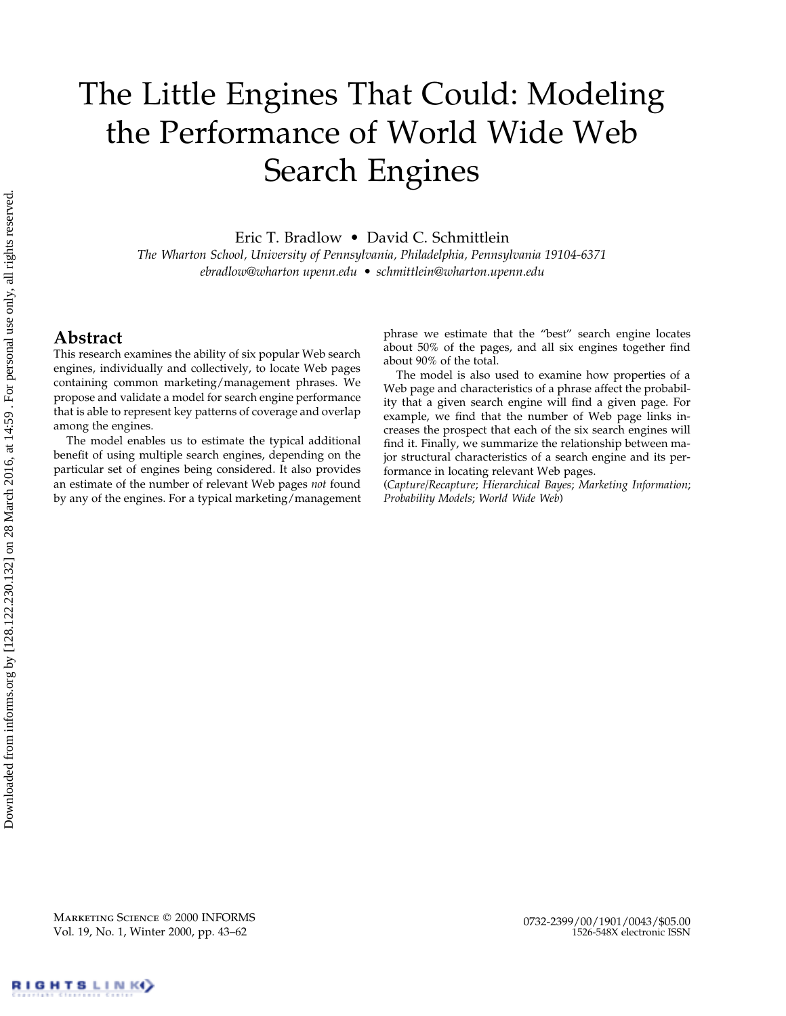# The Little Engines That Could: Modeling the Performance of World Wide Web Search Engines

Eric T. Bradlow • David C. Schmittlein

*The Wharton School, University of Pennsylvania, Philadelphia, Pennsylvania 19104-6371 ebradlow@wharton upenn.edu • schmittlein@wharton.upenn.edu*

# **Abstract**

This research examines the ability of six popular Web search engines, individually and collectively, to locate Web pages containing common marketing/management phrases. We propose and validate a model for search engine performance that is able to represent key patterns of coverage and overlap among the engines.

The model enables us to estimate the typical additional benefit of using multiple search engines, depending on the particular set of engines being considered. It also provides an estimate of the number of relevant Web pages *not* found by any of the engines. For a typical marketing/management

phrase we estimate that the "best" search engine locates about 50% of the pages, and all six engines together find about 90% of the total.

The model is also used to examine how properties of a Web page and characteristics of a phrase affect the probability that a given search engine will find a given page. For example, we find that the number of Web page links increases the prospect that each of the six search engines will find it. Finally, we summarize the relationship between major structural characteristics of a search engine and its performance in locating relevant Web pages.

(*Capture/Recapture*; *Hierarchical Bayes*; *Marketing Information*; *Probability Models*; *World Wide Web*)

MARKETING SCIENCE © 2000 INFORMS Vol. 19, No. 1, Winter 2000, pp. 43–62

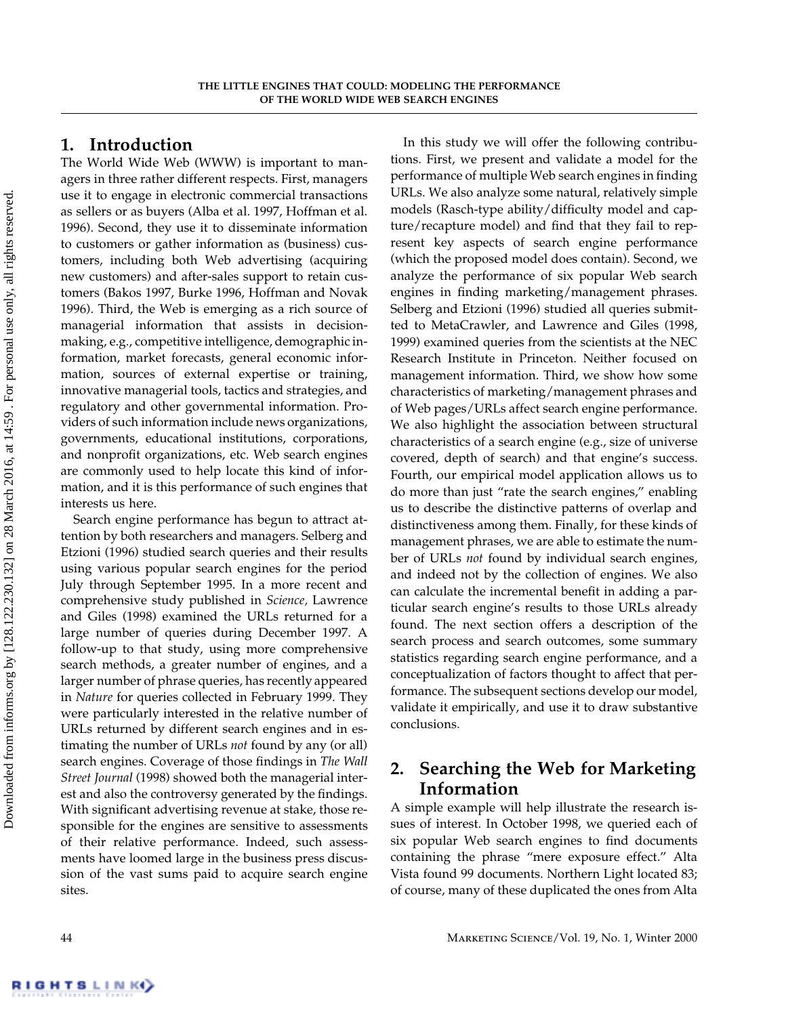# **1. Introduction**

The World Wide Web (WWW) is important to managers in three rather different respects. First, managers use it to engage in electronic commercial transactions as sellers or as buyers (Alba et al. 1997, Hoffman et al. 1996). Second, they use it to disseminate information to customers or gather information as (business) customers, including both Web advertising (acquiring new customers) and after-sales support to retain customers (Bakos 1997, Burke 1996, Hoffman and Novak 1996). Third, the Web is emerging as a rich source of managerial information that assists in decisionmaking, e.g., competitive intelligence, demographic information, market forecasts, general economic information, sources of external expertise or training, innovative managerial tools, tactics and strategies, and regulatory and other governmental information. Providers of such information include news organizations, governments, educational institutions, corporations, and nonprofit organizations, etc. Web search engines are commonly used to help locate this kind of information, and it is this performance of such engines that interests us here.

Search engine performance has begun to attract attention by both researchers and managers. Selberg and Etzioni (1996) studied search queries and their results using various popular search engines for the period July through September 1995. In a more recent and comprehensive study published in *Science,* Lawrence and Giles (1998) examined the URLs returned for a large number of queries during December 1997. A follow-up to that study, using more comprehensive search methods, a greater number of engines, and a larger number of phrase queries, has recently appeared in *Nature* for queries collected in February 1999. They were particularly interested in the relative number of URLs returned by different search engines and in estimating the number of URLs *not* found by any (or all) search engines. Coverage of those findings in *The Wall Street Journal* (1998) showed both the managerial interest and also the controversy generated by the findings. With significant advertising revenue at stake, those responsible for the engines are sensitive to assessments of their relative performance. Indeed, such assessments have loomed large in the business press discussion of the vast sums paid to acquire search engine sites.

In this study we will offer the following contributions. First, we present and validate a model for the performance of multiple Web search engines in finding URLs. We also analyze some natural, relatively simple models (Rasch-type ability/difficulty model and capture/recapture model) and find that they fail to represent key aspects of search engine performance (which the proposed model does contain). Second, we analyze the performance of six popular Web search engines in finding marketing/management phrases. Selberg and Etzioni (1996) studied all queries submitted to MetaCrawler, and Lawrence and Giles (1998, 1999) examined queries from the scientists at the NEC Research Institute in Princeton. Neither focused on management information. Third, we show how some characteristics of marketing/management phrases and of Web pages/URLs affect search engine performance. We also highlight the association between structural characteristics of a search engine (e.g., size of universe covered, depth of search) and that engine's success. Fourth, our empirical model application allows us to do more than just "rate the search engines," enabling us to describe the distinctive patterns of overlap and distinctiveness among them. Finally, for these kinds of management phrases, we are able to estimate the number of URLs *not* found by individual search engines, and indeed not by the collection of engines. We also can calculate the incremental benefit in adding a particular search engine's results to those URLs already found. The next section offers a description of the search process and search outcomes, some summary statistics regarding search engine performance, and a conceptualization of factors thought to affect that performance. The subsequent sections develop our model, validate it empirically, and use it to draw substantive conclusions.

# **2. Searching the Web for Marketing Information**

A simple example will help illustrate the research issues of interest. In October 1998, we queried each of six popular Web search engines to find documents containing the phrase "mere exposure effect." Alta Vista found 99 documents. Northern Light located 83; of course, many of these duplicated the ones from Alta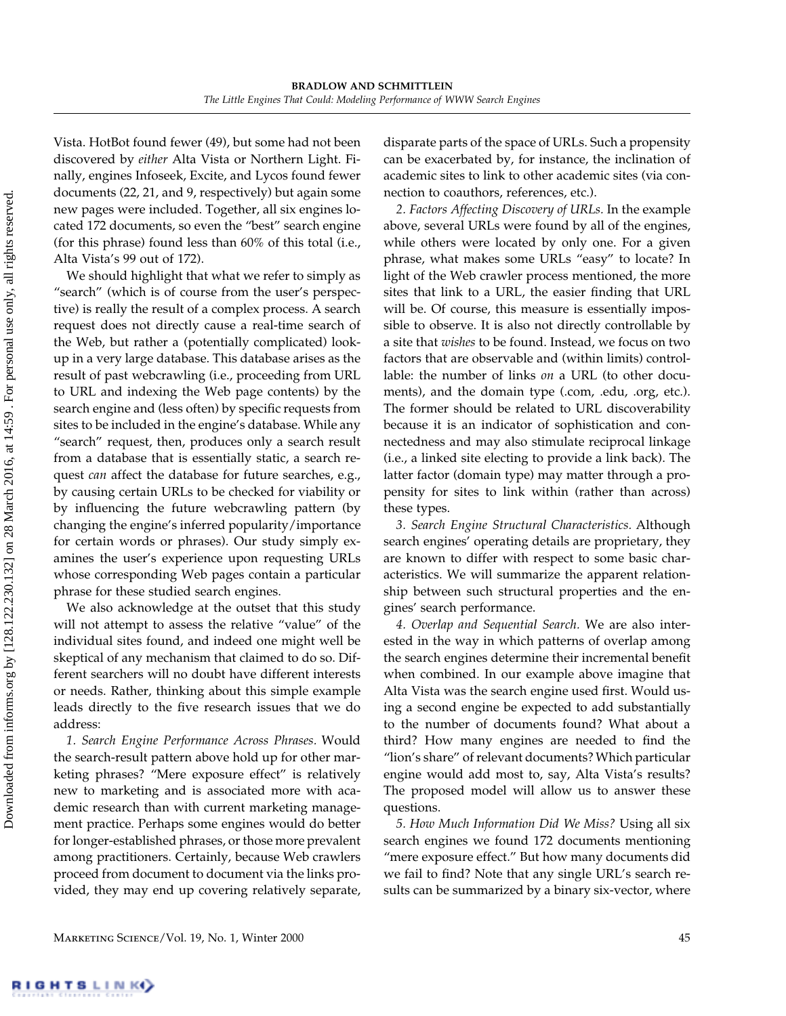Vista. HotBot found fewer (49), but some had not been discovered by *either* Alta Vista or Northern Light. Finally, engines Infoseek, Excite, and Lycos found fewer documents (22, 21, and 9, respectively) but again some new pages were included. Together, all six engines located 172 documents, so even the "best" search engine (for this phrase) found less than 60% of this total (i.e., Alta Vista's 99 out of 172).

We should highlight that what we refer to simply as "search" (which is of course from the user's perspective) is really the result of a complex process. A search request does not directly cause a real-time search of the Web, but rather a (potentially complicated) lookup in a very large database. This database arises as the result of past webcrawling (i.e., proceeding from URL to URL and indexing the Web page contents) by the search engine and (less often) by specific requests from sites to be included in the engine's database. While any "search" request, then, produces only a search result from a database that is essentially static, a search request *can* affect the database for future searches, e.g., by causing certain URLs to be checked for viability or by influencing the future webcrawling pattern (by changing the engine's inferred popularity/importance for certain words or phrases). Our study simply examines the user's experience upon requesting URLs whose corresponding Web pages contain a particular phrase for these studied search engines.

We also acknowledge at the outset that this study will not attempt to assess the relative "value" of the individual sites found, and indeed one might well be skeptical of any mechanism that claimed to do so. Different searchers will no doubt have different interests or needs. Rather, thinking about this simple example leads directly to the five research issues that we do address:

*1. Search Engine Performance Across Phrases.* Would the search-result pattern above hold up for other marketing phrases? "Mere exposure effect" is relatively new to marketing and is associated more with academic research than with current marketing management practice. Perhaps some engines would do better for longer-established phrases, or those more prevalent among practitioners. Certainly, because Web crawlers proceed from document to document via the links provided, they may end up covering relatively separate,

disparate parts of the space of URLs. Such a propensity can be exacerbated by, for instance, the inclination of academic sites to link to other academic sites (via connection to coauthors, references, etc.).

*2. Factors Affecting Discovery of URLs.* In the example above, several URLs were found by all of the engines, while others were located by only one. For a given phrase, what makes some URLs "easy" to locate? In light of the Web crawler process mentioned, the more sites that link to a URL, the easier finding that URL will be. Of course, this measure is essentially impossible to observe. It is also not directly controllable by a site that *wishes* to be found. Instead, we focus on two factors that are observable and (within limits) controllable: the number of links *on* a URL (to other documents), and the domain type (.com, .edu, .org, etc.). The former should be related to URL discoverability because it is an indicator of sophistication and connectedness and may also stimulate reciprocal linkage (i.e., a linked site electing to provide a link back). The latter factor (domain type) may matter through a propensity for sites to link within (rather than across) these types.

*3. Search Engine Structural Characteristics.* Although search engines' operating details are proprietary, they are known to differ with respect to some basic characteristics. We will summarize the apparent relationship between such structural properties and the engines' search performance.

*4. Overlap and Sequential Search.* We are also interested in the way in which patterns of overlap among the search engines determine their incremental benefit when combined. In our example above imagine that Alta Vista was the search engine used first. Would using a second engine be expected to add substantially to the number of documents found? What about a third? How many engines are needed to find the "lion's share" of relevant documents? Which particular engine would add most to, say, Alta Vista's results? The proposed model will allow us to answer these questions.

*5. HowMuch Information Did We Miss?* Using all six search engines we found 172 documents mentioning "mere exposure effect." But how many documents did we fail to find? Note that any single URL's search results can be summarized by a binary six-vector, where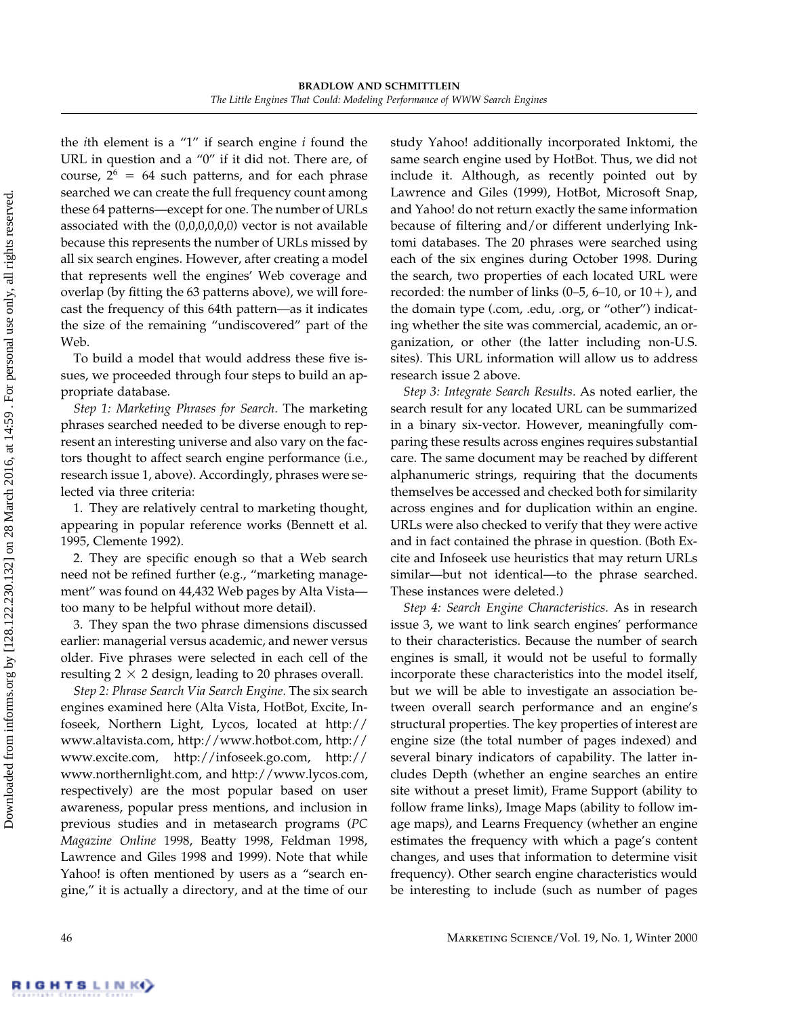the *i*th element is a "1" if search engine *i* found the URL in question and a "0" if it did not. There are, of course,  $2^6 = 64$  such patterns, and for each phrase searched we can create the full frequency count among these 64 patterns—except for one. The number of URLs associated with the (0,0,0,0,0,0) vector is not available because this represents the number of URLs missed by all six search engines. However, after creating a model that represents well the engines' Web coverage and overlap (by fitting the 63 patterns above), we will forecast the frequency of this 64th pattern—as it indicates the size of the remaining "undiscovered" part of the Web.

To build a model that would address these five issues, we proceeded through four steps to build an appropriate database.

*Step 1: Marketing Phrases for Search.* The marketing phrases searched needed to be diverse enough to represent an interesting universe and also vary on the factors thought to affect search engine performance (i.e., research issue 1, above). Accordingly, phrases were selected via three criteria:

1. They are relatively central to marketing thought, appearing in popular reference works (Bennett et al. 1995, Clemente 1992).

2. They are specific enough so that a Web search need not be refined further (e.g., "marketing management" was found on 44,432 Web pages by Alta Vista too many to be helpful without more detail).

3. They span the two phrase dimensions discussed earlier: managerial versus academic, and newer versus older. Five phrases were selected in each cell of the resulting  $2 \times 2$  design, leading to 20 phrases overall.

*Step 2: Phrase Search Via Search Engine.* The six search engines examined here (Alta Vista, HotBot, Excite, Infoseek, Northern Light, Lycos, located at http:// www.altavista.com, http://www.hotbot.com, http:// www.excite.com, http://infoseek.go.com, http:// www.northernlight.com, and http://www.lycos.com, respectively) are the most popular based on user awareness, popular press mentions, and inclusion in previous studies and in metasearch programs (*PC Magazine Online* 1998, Beatty 1998, Feldman 1998, Lawrence and Giles 1998 and 1999). Note that while Yahoo! is often mentioned by users as a "search engine," it is actually a directory, and at the time of our study Yahoo! additionally incorporated Inktomi, the same search engine used by HotBot. Thus, we did not include it. Although, as recently pointed out by Lawrence and Giles (1999), HotBot, Microsoft Snap, and Yahoo! do not return exactly the same information because of filtering and/or different underlying Inktomi databases. The 20 phrases were searched using each of the six engines during October 1998. During the search, two properties of each located URL were recorded: the number of links  $(0-5, 6-10, 0r 10+)$ , and the domain type (.com, .edu, .org, or "other") indicating whether the site was commercial, academic, an organization, or other (the latter including non-U.S. sites). This URL information will allow us to address research issue 2 above.

*Step 3: Integrate Search Results.* As noted earlier, the search result for any located URL can be summarized in a binary six-vector. However, meaningfully comparing these results across engines requires substantial care. The same document may be reached by different alphanumeric strings, requiring that the documents themselves be accessed and checked both for similarity across engines and for duplication within an engine. URLs were also checked to verify that they were active and in fact contained the phrase in question. (Both Excite and Infoseek use heuristics that may return URLs similar—but not identical—to the phrase searched. These instances were deleted.)

*Step 4: Search Engine Characteristics.* As in research issue 3, we want to link search engines' performance to their characteristics. Because the number of search engines is small, it would not be useful to formally incorporate these characteristics into the model itself, but we will be able to investigate an association between overall search performance and an engine's structural properties. The key properties of interest are engine size (the total number of pages indexed) and several binary indicators of capability. The latter includes Depth (whether an engine searches an entire site without a preset limit), Frame Support (ability to follow frame links), Image Maps (ability to follow image maps), and Learns Frequency (whether an engine estimates the frequency with which a page's content changes, and uses that information to determine visit frequency). Other search engine characteristics would be interesting to include (such as number of pages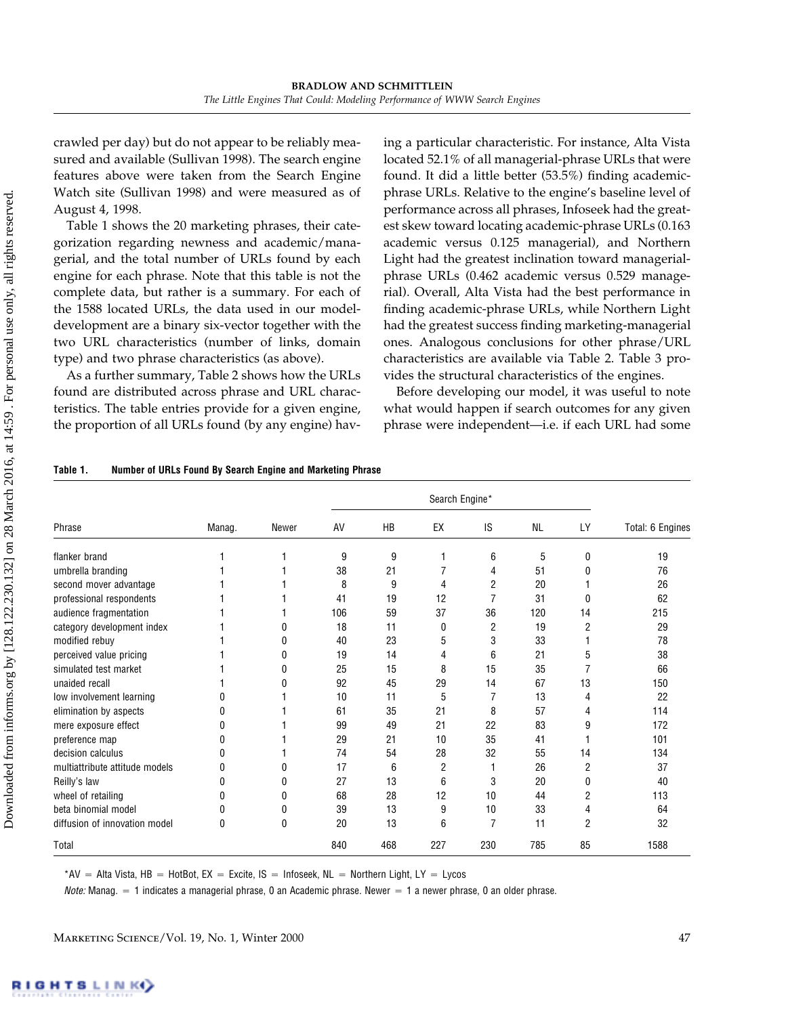crawled per day) but do not appear to be reliably measured and available (Sullivan 1998). The search engine features above were taken from the Search Engine Watch site (Sullivan 1998) and were measured as of August 4, 1998.

Table 1 shows the 20 marketing phrases, their categorization regarding newness and academic/managerial, and the total number of URLs found by each engine for each phrase. Note that this table is not the complete data, but rather is a summary. For each of the 1588 located URLs, the data used in our modeldevelopment are a binary six-vector together with the two URL characteristics (number of links, domain type) and two phrase characteristics (as above).

As a further summary, Table 2 shows how the URLs found are distributed across phrase and URL characteristics. The table entries provide for a given engine, the proportion of all URLs found (by any engine) having a particular characteristic. For instance, Alta Vista located 52.1% of all managerial-phrase URLs that were found. It did a little better (53.5%) finding academicphrase URLs. Relative to the engine's baseline level of performance across all phrases, Infoseek had the greatest skew toward locating academic-phrase URLs (0.163 academic versus 0.125 managerial), and Northern Light had the greatest inclination toward managerialphrase URLs (0.462 academic versus 0.529 managerial). Overall, Alta Vista had the best performance in finding academic-phrase URLs, while Northern Light had the greatest success finding marketing-managerial ones. Analogous conclusions for other phrase/URL characteristics are available via Table 2. Table 3 provides the structural characteristics of the engines.

Before developing our model, it was useful to note what would happen if search outcomes for any given phrase were independent—i.e. if each URL had some

| Phrase                         | Manag.   | Newer | AV  | HB  | EX  | IS             | <b>NL</b> | LY | Total: 6 Engines |
|--------------------------------|----------|-------|-----|-----|-----|----------------|-----------|----|------------------|
| flanker brand                  |          |       | 9   | 9   | 1   | 6              | 5         | 0  | 19               |
| umbrella branding              |          |       | 38  | 21  | 7   | 4              | 51        | 0  | 76               |
| second mover advantage         |          |       | 8   | 9   | 4   | 2              | 20        |    | 26               |
| professional respondents       |          |       | 41  | 19  | 12  | $\overline{7}$ | 31        | 0  | 62               |
| audience fragmentation         |          |       | 106 | 59  | 37  | 36             | 120       | 14 | 215              |
| category development index     |          | 0     | 18  | 11  | 0   | 2              | 19        | 2  | 29               |
| modified rebuv                 |          | 0     | 40  | 23  | 5   | 3              | 33        |    | 78               |
| perceived value pricing        |          | 0     | 19  | 14  | 4   | 6              | 21        | 5  | 38               |
| simulated test market          |          | 0     | 25  | 15  | 8   | 15             | 35        |    | 66               |
| unaided recall                 |          | 0     | 92  | 45  | 29  | 14             | 67        | 13 | 150              |
| low involvement learning       | U        |       | 10  | 11  | 5   |                | 13        | 4  | 22               |
| elimination by aspects         | ſ        |       | 61  | 35  | 21  | 8              | 57        | 4  | 114              |
| mere exposure effect           | ŋ        |       | 99  | 49  | 21  | 22             | 83        | 9  | 172              |
| preference map                 | 0        |       | 29  | 21  | 10  | 35             | 41        |    | 101              |
| decision calculus              | n        |       | 74  | 54  | 28  | 32             | 55        | 14 | 134              |
| multiattribute attitude models | 0        | 0     | 17  | 6   | 2   |                | 26        | 2  | 37               |
| Reilly's law                   | 0        | 0     | 27  | 13  | 6   | 3              | 20        | 0  | 40               |
| wheel of retailing             | 0        | 0     | 68  | 28  | 12  | 10             | 44        | 2  | 113              |
| beta binomial model            | 0        | 0     | 39  | 13  | 9   | 10             | 33        | 4  | 64               |
| diffusion of innovation model  | $\Omega$ | 0     | 20  | 13  | 6   | 7              | 11        | 2  | 32               |
| Total                          |          |       | 840 | 468 | 227 | 230            | 785       | 85 | 1588             |

 $^*$ AV = Alta Vista, HB = HotBot, EX = Excite, IS = Infoseek, NL = Northern Light, LY = Lycos

*Note:* Manag. = 1 indicates a managerial phrase, 0 an Academic phrase. Newer = 1 a newer phrase, 0 an older phrase.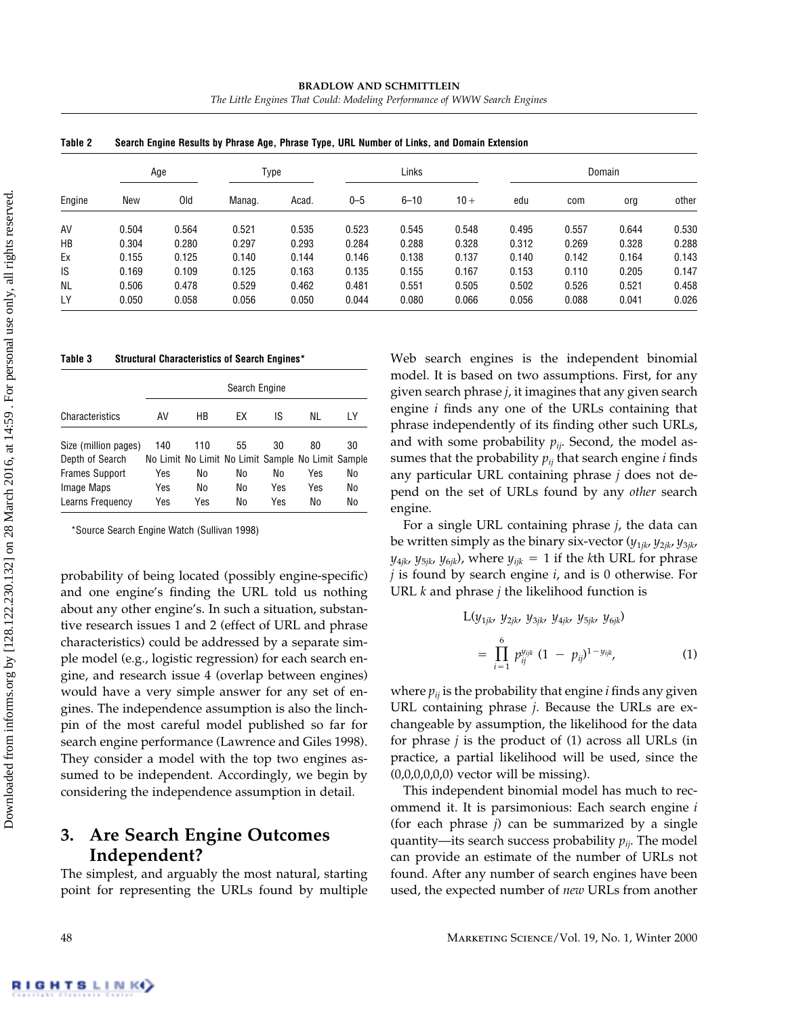| Table 2   | Search Engine Results by Phrase Age, Phrase Type, URL Number of Links, and Domain Extension |       |        |       |         |          |        |        |       |       |       |  |  |
|-----------|---------------------------------------------------------------------------------------------|-------|--------|-------|---------|----------|--------|--------|-------|-------|-------|--|--|
| Engine    | Age                                                                                         |       | Type   |       | Links   |          |        | Domain |       |       |       |  |  |
|           | New                                                                                         | 0ld   | Manag. | Acad. | $0 - 5$ | $6 - 10$ | $10 +$ | edu    | com   | org   | other |  |  |
| AV        | 0.504                                                                                       | 0.564 | 0.521  | 0.535 | 0.523   | 0.545    | 0.548  | 0.495  | 0.557 | 0.644 | 0.530 |  |  |
| HB        | 0.304                                                                                       | 0.280 | 0.297  | 0.293 | 0.284   | 0.288    | 0.328  | 0.312  | 0.269 | 0.328 | 0.288 |  |  |
| Ex        | 0.155                                                                                       | 0.125 | 0.140  | 0.144 | 0.146   | 0.138    | 0.137  | 0.140  | 0.142 | 0.164 | 0.143 |  |  |
| IS        | 0.169                                                                                       | 0.109 | 0.125  | 0.163 | 0.135   | 0.155    | 0.167  | 0.153  | 0.110 | 0.205 | 0.147 |  |  |
| <b>NL</b> | 0.506                                                                                       | 0.478 | 0.529  | 0.462 | 0.481   | 0.551    | 0.505  | 0.502  | 0.526 | 0.521 | 0.458 |  |  |
| LY        | 0.050                                                                                       | 0.058 | 0.056  | 0.050 | 0.044   | 0.080    | 0.066  | 0.056  | 0.088 | 0.041 | 0.026 |  |  |

**BRADLOW AND SCHMITTLEIN** *The Little Engines That Could: Modeling Performance of WWW Search Engines*

**Table 3 Structural Characteristics of Search Engines\***

|                                         | Search Engine |                                                          |    |     |     |     |  |  |  |
|-----------------------------------------|---------------|----------------------------------------------------------|----|-----|-----|-----|--|--|--|
| Characteristics                         | AV            | HB                                                       | ЕX | IS  | NL  | I Y |  |  |  |
| Size (million pages)<br>Depth of Search | 140           | 110<br>No Limit No Limit No Limit Sample No Limit Sample | 55 | 30  | 80  | 30  |  |  |  |
| <b>Frames Support</b>                   | Yes           | No                                                       | No | No  | Yes | No  |  |  |  |
| Image Maps                              | Yes           | No                                                       | No | Yes | Yes | No  |  |  |  |
| Learns Frequency                        | Yes           | Yes                                                      | No | Yes | No  | No  |  |  |  |

\*Source Search Engine Watch (Sullivan 1998)

probability of being located (possibly engine-specific) and one engine's finding the URL told us nothing about any other engine's. In such a situation, substantive research issues 1 and 2 (effect of URL and phrase characteristics) could be addressed by a separate simple model (e.g., logistic regression) for each search engine, and research issue 4 (overlap between engines) would have a very simple answer for any set of engines. The independence assumption is also the linchpin of the most careful model published so far for search engine performance (Lawrence and Giles 1998). They consider a model with the top two engines assumed to be independent. Accordingly, we begin by considering the independence assumption in detail.

# **3. Are Search Engine Outcomes Independent?**

The simplest, and arguably the most natural, starting point for representing the URLs found by multiple Web search engines is the independent binomial model. It is based on two assumptions. First, for any given search phrase *j*, it imagines that any given search engine *i* finds any one of the URLs containing that phrase independently of its finding other such URLs, and with some probability  $p_{ij}$ . Second, the model assumes that the probability  $p_{ij}$  that search engine  $i$  finds any particular URL containing phrase *j* does not depend on the set of URLs found by any *other* search engine.

For a single URL containing phrase *j*, the data can be written simply as the binary six-vector (*y*1*jk*, *y*2*jk*, *y*3*jk*,  $y_{4jk}$ ,  $y_{5jk}$ ,  $y_{6jk}$ ), where  $y_{ijk} = 1$  if the *k*th URL for phrase *j* is found by search engine *i*, and is 0 otherwise. For URL *k* and phrase *j* the likelihood function is

$$
L(y_{1jk}, y_{2jk}, y_{3jk}, y_{4jk}, y_{5jk}, y_{6jk})
$$
  
= 
$$
\prod_{i=1}^{6} p_{ij}^{y_{ijk}} (1 - p_{ij})^{1 - y_{ijk}},
$$
 (1)

where  $p_{ij}$  is the probability that engine  $i$  finds any given URL containing phrase *j*. Because the URLs are exchangeable by assumption, the likelihood for the data for phrase *j* is the product of (1) across all URLs (in practice, a partial likelihood will be used, since the  $(0,0,0,0,0,0)$  vector will be missing).

This independent binomial model has much to recommend it. It is parsimonious: Each search engine *i* (for each phrase *j*) can be summarized by a single quantity—its search success probability  $p_{ij}$ . The model can provide an estimate of the number of URLs not found. After any number of search engines have been used, the expected number of *new* URLs from another

Downloaded from informs.org by [128.122.230.132] on 28 March 2016, at 14:59 . For personal use only, all rights reserved. Downloaded from informs.org by [128.122.230.132] on 28 March 2016, at 14:59 . For personal use only, all rights reserved.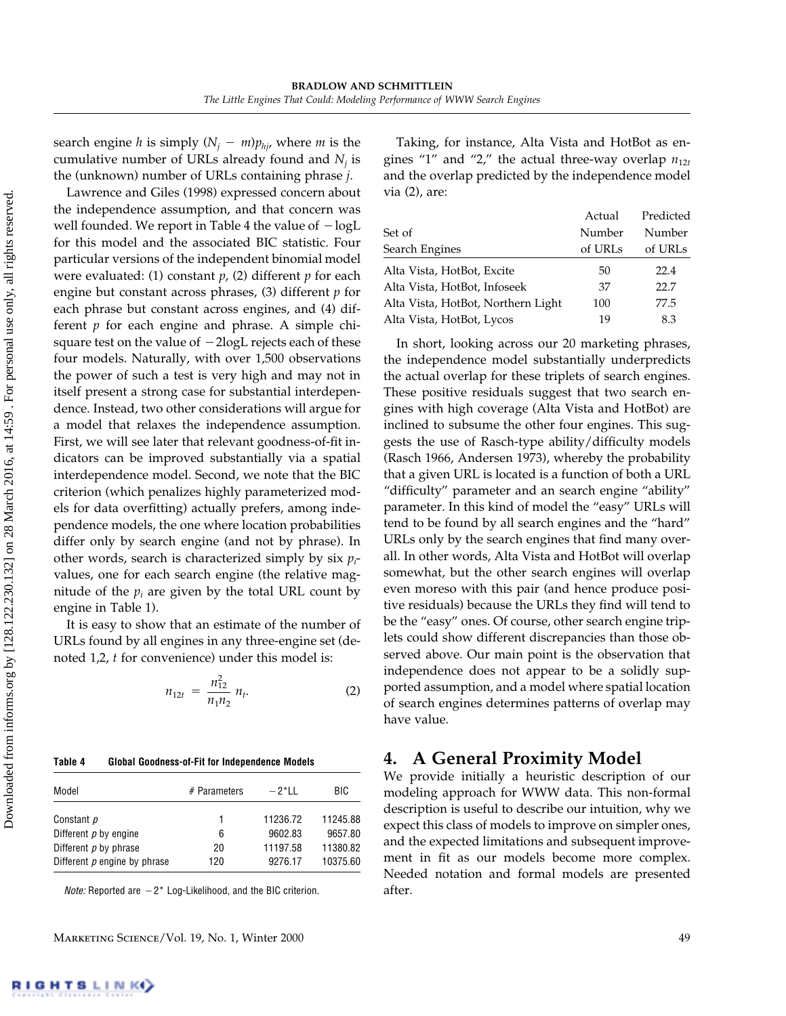search engine *h* is simply  $(N_i - m)p_{hi}$ , where *m* is the cumulative number of URLs already found and  $N_i$  is the (unknown) number of URLs containing phrase *j*.

Lawrence and Giles (1998) expressed concern about the independence assumption, and that concern was well founded. We report in Table 4 the value of  $-\log L$ for this model and the associated BIC statistic. Four particular versions of the independent binomial model were evaluated: (1) constant *p*, (2) different *p* for each engine but constant across phrases, (3) different *p* for each phrase but constant across engines, and (4) different *p* for each engine and phrase. A simple chisquare test on the value of  $-2$ logL rejects each of these four models. Naturally, with over 1,500 observations the power of such a test is very high and may not in itself present a strong case for substantial interdependence. Instead, two other considerations will argue for a model that relaxes the independence assumption. First, we will see later that relevant goodness-of-fit indicators can be improved substantially via a spatial interdependence model. Second, we note that the BIC criterion (which penalizes highly parameterized models for data overfitting) actually prefers, among independence models, the one where location probabilities differ only by search engine (and not by phrase). In other words, search is characterized simply by six *pi* values, one for each search engine (the relative magnitude of the  $p_i$  are given by the total URL count by engine in Table 1).

It is easy to show that an estimate of the number of URLs found by all engines in any three-engine set (denoted 1,2, *t* for convenience) under this model is:

$$
n_{12t} = \frac{n_{12}^2}{n_1 n_2} n_t.
$$
 (2)

#### **Table 4 Global Goodness-of-Fit for Independence Models**

| Model                        | # Parameters | $-2$ * $\mid$ $\mid$ | BIC.     |
|------------------------------|--------------|----------------------|----------|
| Constant p                   |              | 11236.72             | 11245.88 |
| Different p by engine        | 6            | 9602.83              | 9657.80  |
| Different $p$ by phrase      | 20           | 11197.58             | 11380.82 |
| Different p engine by phrase | 120          | 9276.17              | 10375.60 |

*Note:* Reported are  $-2$ <sup>\*</sup> Log-Likelihood, and the BIC criterion.

Taking, for instance, Alta Vista and HotBot as engines "1" and "2," the actual three-way overlap  $n_{12t}$ and the overlap predicted by the independence model via (2), are:

|                                    | Actual  | Predicted |
|------------------------------------|---------|-----------|
| Set of                             | Number  | Number    |
| Search Engines                     | of URLs | of URLs   |
| Alta Vista, HotBot, Excite         | 50      | 22.4      |
| Alta Vista, HotBot, Infoseek       | 37      | 22.7      |
| Alta Vista, HotBot, Northern Light | 100     | 77.5      |
| Alta Vista, HotBot, Lycos          | 19      | 8.3       |

In short, looking across our 20 marketing phrases, the independence model substantially underpredicts the actual overlap for these triplets of search engines. These positive residuals suggest that two search engines with high coverage (Alta Vista and HotBot) are inclined to subsume the other four engines. This suggests the use of Rasch-type ability/difficulty models (Rasch 1966, Andersen 1973), whereby the probability that a given URL is located is a function of both a URL "difficulty" parameter and an search engine "ability" parameter. In this kind of model the "easy" URLs will tend to be found by all search engines and the "hard" URLs only by the search engines that find many overall. In other words, Alta Vista and HotBot will overlap somewhat, but the other search engines will overlap even moreso with this pair (and hence produce positive residuals) because the URLs they find will tend to be the "easy" ones. Of course, other search engine triplets could show different discrepancies than those observed above. Our main point is the observation that independence does not appear to be a solidly supported assumption, and a model where spatial location of search engines determines patterns of overlap may have value.

# **4. A General Proximity Model**

We provide initially a heuristic description of our modeling approach for WWW data. This non-formal description is useful to describe our intuition, why we expect this class of models to improve on simpler ones, and the expected limitations and subsequent improvement in fit as our models become more complex. Needed notation and formal models are presented after.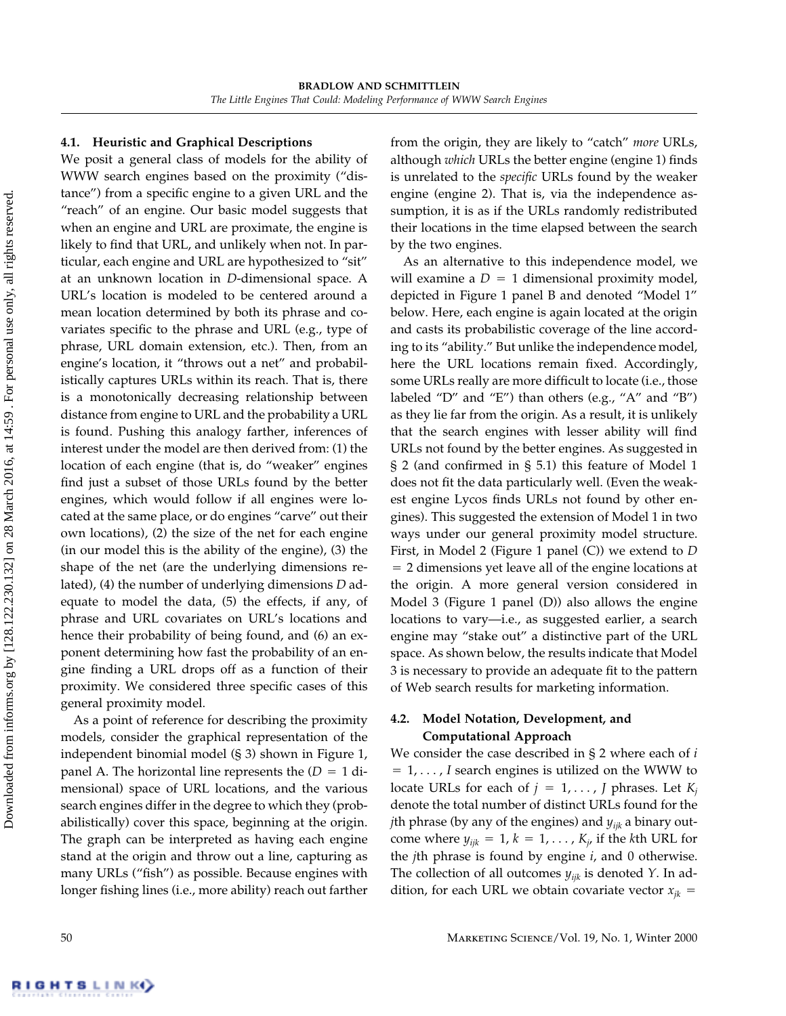## **4.1. Heuristic and Graphical Descriptions**

We posit a general class of models for the ability of WWW search engines based on the proximity ("distance") from a specific engine to a given URL and the "reach" of an engine. Our basic model suggests that when an engine and URL are proximate, the engine is likely to find that URL, and unlikely when not. In particular, each engine and URL are hypothesized to "sit" at an unknown location in *D*-dimensional space. A URL's location is modeled to be centered around a mean location determined by both its phrase and covariates specific to the phrase and URL (e.g., type of phrase, URL domain extension, etc.). Then, from an engine's location, it "throws out a net" and probabilistically captures URLs within its reach. That is, there is a monotonically decreasing relationship between distance from engine to URL and the probability a URL is found. Pushing this analogy farther, inferences of interest under the model are then derived from: (1) the location of each engine (that is, do "weaker" engines find just a subset of those URLs found by the better engines, which would follow if all engines were located at the same place, or do engines "carve" out their own locations), (2) the size of the net for each engine (in our model this is the ability of the engine), (3) the shape of the net (are the underlying dimensions related), (4) the number of underlying dimensions *D* adequate to model the data, (5) the effects, if any, of phrase and URL covariates on URL's locations and hence their probability of being found, and (6) an exponent determining how fast the probability of an engine finding a URL drops off as a function of their proximity. We considered three specific cases of this general proximity model.

As a point of reference for describing the proximity models, consider the graphical representation of the independent binomial model (§ 3) shown in Figure 1, panel A. The horizontal line represents the  $(D = 1$  dimensional) space of URL locations, and the various search engines differ in the degree to which they (probabilistically) cover this space, beginning at the origin. The graph can be interpreted as having each engine stand at the origin and throw out a line, capturing as many URLs ("fish") as possible. Because engines with longer fishing lines (i.e., more ability) reach out farther from the origin, they are likely to "catch" *more* URLs, although *which* URLs the better engine (engine 1) finds is unrelated to the *specific* URLs found by the weaker engine (engine 2). That is, via the independence assumption, it is as if the URLs randomly redistributed their locations in the time elapsed between the search by the two engines.

As an alternative to this independence model, we will examine a  $D = 1$  dimensional proximity model, depicted in Figure 1 panel B and denoted "Model 1" below. Here, each engine is again located at the origin and casts its probabilistic coverage of the line according to its "ability." But unlike the independence model, here the URL locations remain fixed. Accordingly, some URLs really are more difficult to locate (i.e., those labeled "D" and "E") than others (e.g., "A" and "B") as they lie far from the origin. As a result, it is unlikely that the search engines with lesser ability will find URLs not found by the better engines. As suggested in § 2 (and confirmed in § 5.1) this feature of Model 1 does not fit the data particularly well. (Even the weakest engine Lycos finds URLs not found by other engines). This suggested the extension of Model 1 in two ways under our general proximity model structure. First, in Model 2 (Figure 1 panel (C)) we extend to *D* - 2 dimensions yet leave all of the engine locations at the origin. A more general version considered in Model 3 (Figure 1 panel (D)) also allows the engine locations to vary—i.e., as suggested earlier, a search engine may "stake out" a distinctive part of the URL space. As shown below, the results indicate that Model 3 is necessary to provide an adequate fit to the pattern of Web search results for marketing information.

## **4.2. Model Notation, Development, and Computational Approach**

We consider the case described in § 2 where each of *i*  $= 1, \ldots, I$  search engines is utilized on the WWW to locate URLs for each of  $j = 1, \ldots, J$  phrases. Let  $K_j$ denote the total number of distinct URLs found for the *j*th phrase (by any of the engines) and *yijk* a binary outcome where  $y_{ijk} = 1$ ,  $k = 1, \ldots$  ,  $K_{j}$ , if the *k*th URL for the *j*th phrase is found by engine *i*, and 0 otherwise. The collection of all outcomes *yijk* is denoted *Y*. In addition, for each URL we obtain covariate vector  $x_{jk}$  =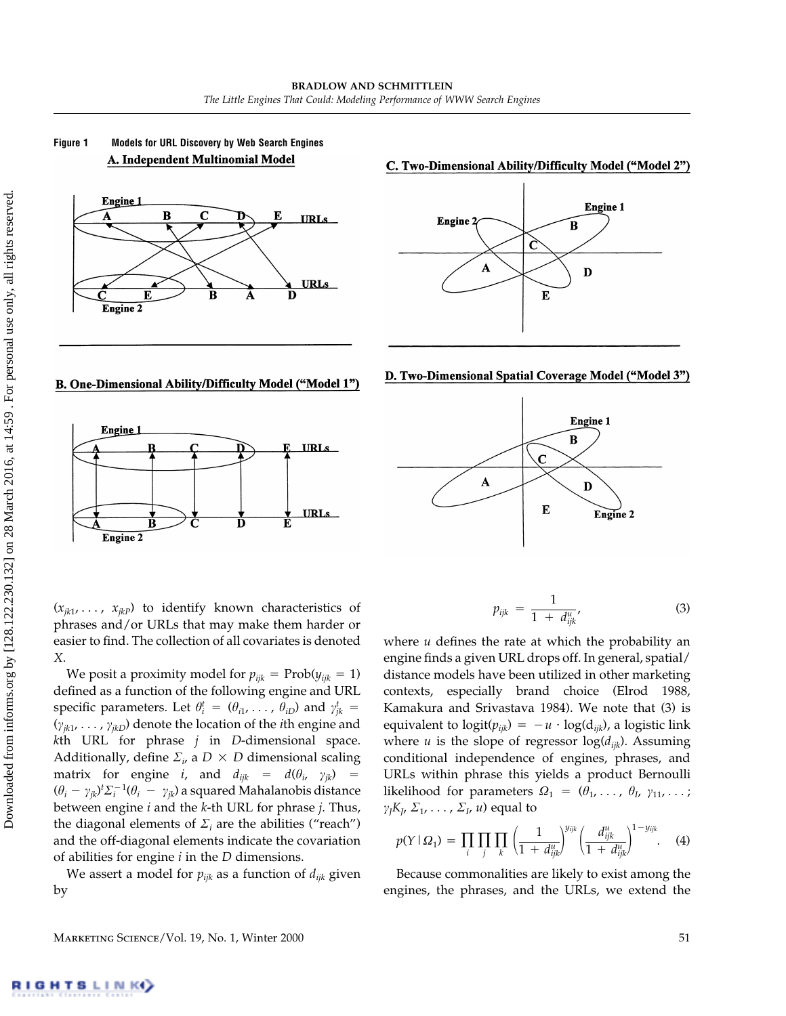



#### C. Two-Dimensional Ability/Difficulty Model ("Model 2")



#### B. One-Dimensional Ability/Difficulty Model ("Model 1")







 $(x_{ik1}, \ldots, x_{ikp})$  to identify known characteristics of phrases and/or URLs that may make them harder or easier to find. The collection of all covariates is denoted *X*.

We posit a proximity model for  $p_{ijk} = \text{Prob}(y_{ijk} = 1)$ defined as a function of the following engine and URL specific parameters. Let  $\theta_i^t = (\theta_{i1}, \ldots, \theta_{iD})$  and  $\gamma_{jk}^t =$  $(\gamma_{jk1}, \ldots, \gamma_{jkD})$  denote the location of the *i*th engine and *k*th URL for phrase *j* in *D*-dimensional space. Additionally, define  $\Sigma_{\nu}$  a  $D \times D$  dimensional scaling matrix for engine *i*, and  $d_{ijk} = d(\theta_i, \gamma_{jk}) =$  $(\theta_i - \gamma_{ik})^t \Sigma_i^{-1} (\theta_i - \gamma_{ik})$  a squared Mahalanobis distance between engine *i* and the *k*-th URL for phrase *j*. Thus, the diagonal elements of  $\Sigma_i$  are the abilities ("reach") and the off-diagonal elements indicate the covariation of abilities for engine *i* in the *D* dimensions.

We assert a model for  $p_{ijk}$  as a function of  $d_{ijk}$  given by

$$
p_{ijk} = \frac{1}{1 + d_{ijk}^u}, \tag{3}
$$

where *u* defines the rate at which the probability an engine finds a given URL drops off. In general, spatial/ distance models have been utilized in other marketing contexts, especially brand choice (Elrod 1988, Kamakura and Srivastava 1984). We note that (3) is equivalent to  $\text{logit}(p_{ijk}) = -u \cdot \text{log(d}_{ijk})$ , a logistic link where *u* is the slope of regressor  $log(d_{ijk})$ . Assuming conditional independence of engines, phrases, and URLs within phrase this yields a product Bernoulli likelihood for parameters  $\Omega_1 = (\theta_1, \ldots, \theta_{l}, \gamma_{11}, \ldots; \gamma_{l}, \ldots)$  $\gamma_l K_l$ ,  $\Sigma_1$ , ...,  $\Sigma_l$ , *u*) equal to

$$
p(Y \mid \Omega_1) = \prod_i \prod_j \prod_k \left( \frac{1}{1 + d_{ijk}^{u}} \right)^{y_{ijk}} \left( \frac{d_{ijk}^{u}}{1 + d_{ijk}^{u}} \right)^{1 - y_{ijk}}.
$$
 (4)

Because commonalities are likely to exist among the engines, the phrases, and the URLs, we extend the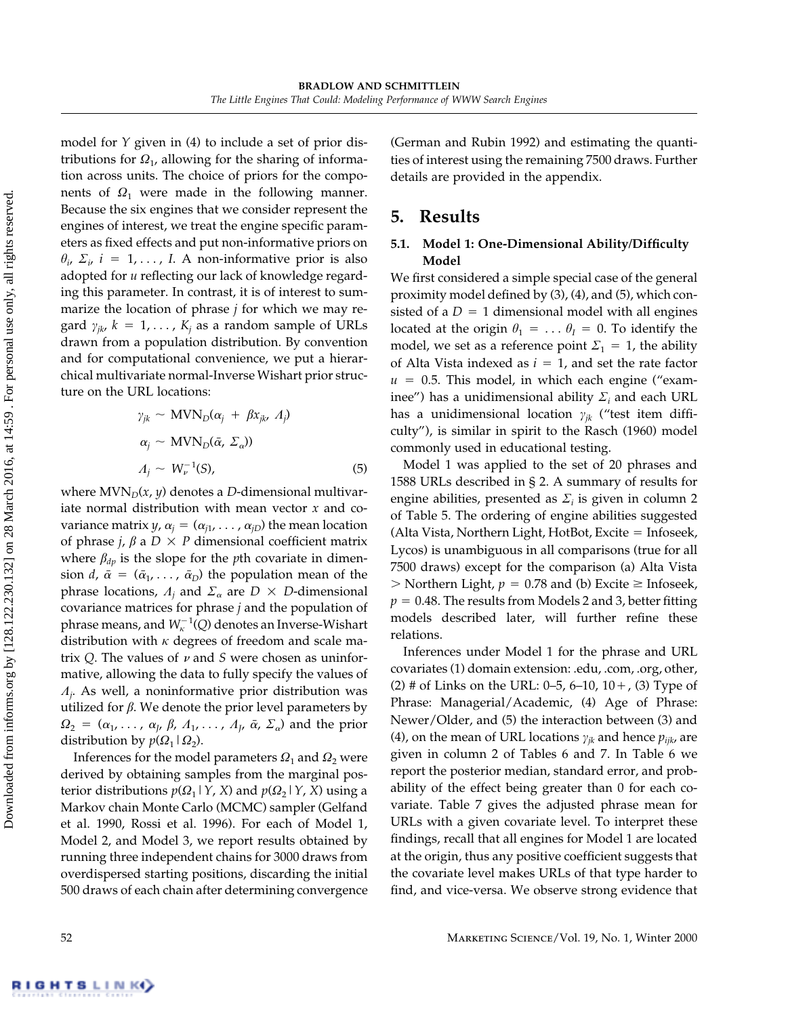model for *Y* given in (4) to include a set of prior distributions for  $\Omega_1$ , allowing for the sharing of information across units. The choice of priors for the components of  $\Omega_1$  were made in the following manner. Because the six engines that we consider represent the engines of interest, we treat the engine specific parameters as fixed effects and put non-informative priors on  $\theta_i$ ,  $\Sigma_i$ ,  $i = 1, \ldots, I$ . A non-informative prior is also adopted for *u* reflecting our lack of knowledge regarding this parameter. In contrast, it is of interest to summarize the location of phrase *j* for which we may regard  $\gamma_{jk}$ ,  $k = 1, \ldots$ ,  $K_j$  as a random sample of URLs drawn from a population distribution. By convention and for computational convenience, we put a hierarchical multivariate normal-Inverse Wishart prior structure on the URL locations:

$$
\gamma_{jk} \sim \text{MVN}_D(\alpha_j + \beta x_{jk}, A_j)
$$
  
\n
$$
\alpha_j \sim \text{MVN}_D(\bar{\alpha}, \Sigma_\alpha))
$$
  
\n
$$
A_j \sim W_{\nu}^{-1}(S),
$$
 (5)

where  $MVN<sub>D</sub>(x, y)$  denotes a *D*-dimensional multivariate normal distribution with mean vector *x* and covariance matrix *y*,  $\alpha_j = (\alpha_{j1}, \ldots, \alpha_{jD})$  the mean location of phrase *j*,  $\beta$  a  $D \times P$  dimensional coefficient matrix where  $\beta_{dv}$  is the slope for the *p*th covariate in dimension *d*,  $\bar{\alpha} = (\bar{\alpha}_1, \ldots, \bar{\alpha}_D)$  the population mean of the phrase locations,  $A_j$  and  $\Sigma_\alpha$  are  $D \times D$ -dimensional covariance matrices for phrase *j* and the population of phrase means, and  $W^{-1}_\kappa(Q)$  denotes an Inverse-Wishart distribution with  $\kappa$  degrees of freedom and scale matrix  $Q$ . The values of  $\nu$  and  $S$  were chosen as uninformative, allowing the data to fully specify the values of  $A_j$ . As well, a noninformative prior distribution was utilized for  $\beta$ . We denote the prior level parameters by  $\Omega_2 = (\alpha_1, \ldots, \alpha_J, \beta, A_1, \ldots, A_J, \bar{\alpha}, \Sigma_{\alpha})$  and the prior distribution by  $p(\Omega_1 | \Omega_2)$ .

Inferences for the model parameters  $\Omega_1$  and  $\Omega_2$  were derived by obtaining samples from the marginal posterior distributions  $p(\Omega_1 | Y, X)$  and  $p(\Omega_2 | Y, X)$  using a Markov chain Monte Carlo (MCMC) sampler (Gelfand et al. 1990, Rossi et al. 1996). For each of Model 1, Model 2, and Model 3, we report results obtained by running three independent chains for 3000 draws from overdispersed starting positions, discarding the initial 500 draws of each chain after determining convergence (German and Rubin 1992) and estimating the quantities of interest using the remaining 7500 draws. Further details are provided in the appendix.

# **5. Results**

## **5.1. Model 1: One-Dimensional Ability/Difficulty Model**

We first considered a simple special case of the general proximity model defined by (3), (4), and (5), which consisted of a  $D = 1$  dimensional model with all engines located at the origin  $\theta_1 = \ldots \theta_I = 0$ . To identify the model, we set as a reference point  $\Sigma_1 = 1$ , the ability of Alta Vista indexed as  $i = 1$ , and set the rate factor  $u = 0.5$ . This model, in which each engine ("examinee") has a unidimensional ability  $\Sigma_i$  and each URL has a unidimensional location  $\gamma_{ik}$  ("test item difficulty"), is similar in spirit to the Rasch (1960) model commonly used in educational testing.

Model 1 was applied to the set of 20 phrases and 1588 URLs described in § 2. A summary of results for engine abilities, presented as  $\Sigma_i$  is given in column 2 of Table 5. The ordering of engine abilities suggested (Alta Vista, Northern Light, HotBot, Excite = Infoseek, Lycos) is unambiguous in all comparisons (true for all 7500 draws) except for the comparison (a) Alta Vista  $>$  Northern Light,  $p = 0.78$  and (b) Excite  $\geq$  Infoseek,  $p = 0.48$ . The results from Models 2 and 3, better fitting models described later, will further refine these relations.

Inferences under Model 1 for the phrase and URL covariates (1) domain extension: .edu, .com, .org, other, (2) # of Links on the URL:  $0-5$ ,  $6-10$ ,  $10+$ , (3) Type of Phrase: Managerial/Academic, (4) Age of Phrase: Newer/Older, and (5) the interaction between (3) and (4), on the mean of URL locations  $\gamma_{jk}$  and hence  $p_{ijk}$ , are given in column 2 of Tables 6 and 7. In Table 6 we report the posterior median, standard error, and probability of the effect being greater than 0 for each covariate. Table 7 gives the adjusted phrase mean for URLs with a given covariate level. To interpret these findings, recall that all engines for Model 1 are located at the origin, thus any positive coefficient suggests that the covariate level makes URLs of that type harder to find, and vice-versa. We observe strong evidence that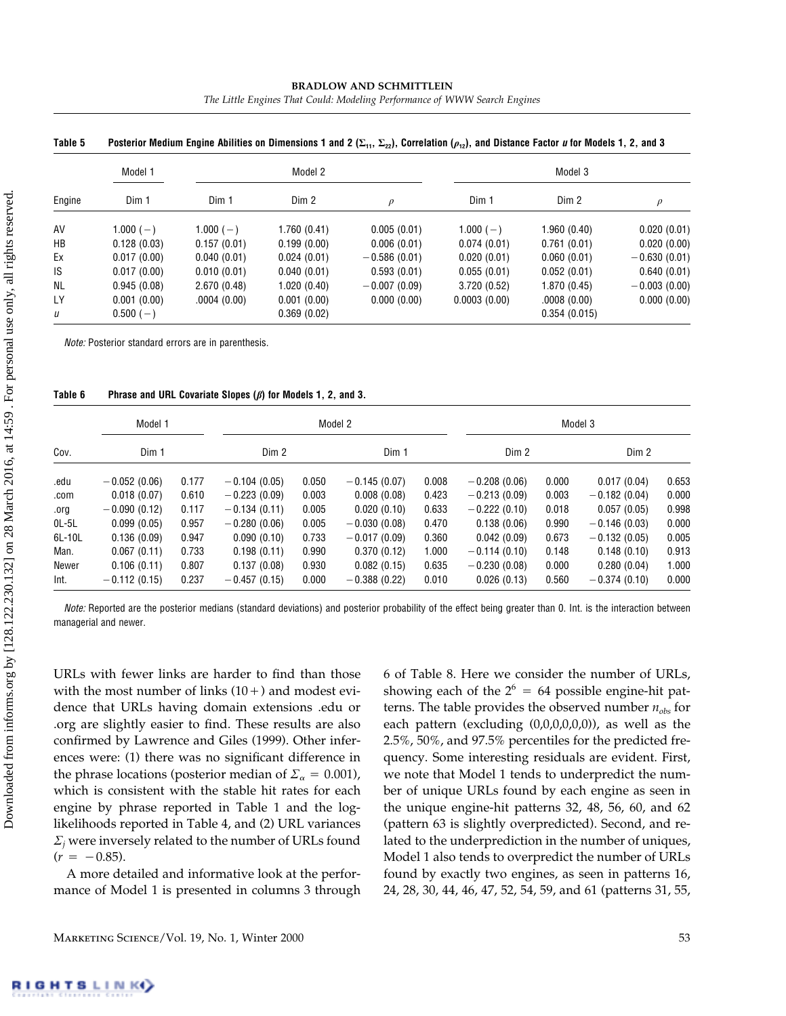#### **BRADLOW AND SCHMITTLEIN** *The Little Engines That Could: Modeling Performance of WWW Search Engines*

|           | Model 1     |             | Model 2     |                | Model 3      |              |                |  |  |
|-----------|-------------|-------------|-------------|----------------|--------------|--------------|----------------|--|--|
| Engine    | Dim 1       | Dim 1       | Dim 2       | $\mathcal{D}$  | Dim 1        | Dim 2        |                |  |  |
| AV        | $1.000(-)$  | $1.000(-)$  | 1.760(0.41) | 0.005(0.01)    | $1.000(-)$   | 1.960(0.40)  | 0.020(0.01)    |  |  |
| HB        | 0.128(0.03) | 0.157(0.01) | 0.199(0.00) | 0.006(0.01)    | 0.074(0.01)  | 0.761(0.01)  | 0.020(0.00)    |  |  |
| Ex        | 0.017(0.00) | 0.040(0.01) | 0.024(0.01) | $-0.586(0.01)$ | 0.020(0.01)  | 0.060(0.01)  | $-0.630(0.01)$ |  |  |
| IS        | 0.017(0.00) | 0.010(0.01) | 0.040(0.01) | 0.593(0.01)    | 0.055(0.01)  | 0.052(0.01)  | 0.640(0.01)    |  |  |
| <b>NL</b> | 0.945(0.08) | 2.670(0.48) | 1.020(0.40) | $-0.007(0.09)$ | 3.720(0.52)  | 1.870(0.45)  | $-0.003(0.00)$ |  |  |
| <b>LY</b> | 0.001(0.00) | .0004(0.00) | 0.001(0.00) | 0.000(0.00)    | 0.0003(0.00) | .0008(0.00)  | 0.000(0.00)    |  |  |
| u         | $0.500(-)$  |             | 0.369(0.02) |                |              | 0.354(0.015) |                |  |  |

**Table 5** Posterior Medium Engine Abilities on Dimensions 1 and 2 ( $\Sigma_{xx}$ ,  $\Sigma_{xx}$ ). Correlation ( $\rho_{xx}$ ), and Distance Factor *u* for Models 1, 2, and 3

*Note:* Posterior standard errors are in parenthesis.

| Table 6 |  | Phrase and URL Covariate Slopes $(\beta)$ for Models 1, 2, and 3. |  |  |
|---------|--|-------------------------------------------------------------------|--|--|
|---------|--|-------------------------------------------------------------------|--|--|

| Cov.    | Model 1        |       |                |       | Model 2        |       | Model 3        |       |                |       |  |
|---------|----------------|-------|----------------|-------|----------------|-------|----------------|-------|----------------|-------|--|
|         | Dim 1          |       | Dim 2          |       | Dim 1          |       | Dim 2          |       | Dim 2          |       |  |
| .edu    | $-0.052(0.06)$ | 0.177 | $-0.104(0.05)$ | 0.050 | $-0.145(0.07)$ | 0.008 | $-0.208(0.06)$ | 0.000 | 0.017(0.04)    | 0.653 |  |
| .com    | 0.018(0.07)    | 0.610 | $-0.223(0.09)$ | 0.003 | 0.008(0.08)    | 0.423 | $-0.213(0.09)$ | 0.003 | $-0.182(0.04)$ | 0.000 |  |
| .org    | $-0.090(0.12)$ | 0.117 | $-0.134(0.11)$ | 0.005 | 0.020(0.10)    | 0.633 | $-0.222(0.10)$ | 0.018 | 0.057(0.05)    | 0.998 |  |
| $OL-5L$ | 0.099(0.05)    | 0.957 | $-0.280(0.06)$ | 0.005 | $-0.030(0.08)$ | 0.470 | 0.138(0.06)    | 0.990 | $-0.146(0.03)$ | 0.000 |  |
| 6L-10L  | 0.136(0.09)    | 0.947 | 0.090(0.10)    | 0.733 | $-0.017(0.09)$ | 0.360 | 0.042(0.09)    | 0.673 | $-0.132(0.05)$ | 0.005 |  |
| Man.    | 0.067(0.11)    | 0.733 | 0.198(0.11)    | 0.990 | 0.370(0.12)    | 1.000 | $-0.114(0.10)$ | 0.148 | 0.148(0.10)    | 0.913 |  |
| Newer   | 0.106(0.11)    | 0.807 | 0.137(0.08)    | 0.930 | 0.082(0.15)    | 0.635 | $-0.230(0.08)$ | 0.000 | 0.280(0.04)    | 1.000 |  |
| Int.    | $-0.112(0.15)$ | 0.237 | $-0.457(0.15)$ | 0.000 | $-0.388(0.22)$ | 0.010 | 0.026(0.13)    | 0.560 | $-0.374(0.10)$ | 0.000 |  |

*Note:* Reported are the posterior medians (standard deviations) and posterior probability of the effect being greater than 0. Int. is the interaction between managerial and newer.

URLs with fewer links are harder to find than those with the most number of links  $(10+)$  and modest evidence that URLs having domain extensions .edu or .org are slightly easier to find. These results are also confirmed by Lawrence and Giles (1999). Other inferences were: (1) there was no significant difference in the phrase locations (posterior median of  $\mathcal{Z}_{\alpha} = 0.001$ ), which is consistent with the stable hit rates for each engine by phrase reported in Table 1 and the loglikelihoods reported in Table 4, and (2) URL variances  $\sum_j$  were inversely related to the number of URLs found  $(r = -0.85)$ .

A more detailed and informative look at the performance of Model 1 is presented in columns 3 through

6 of Table 8. Here we consider the number of URLs, showing each of the  $2^6 = 64$  possible engine-hit patterns. The table provides the observed number *nobs* for each pattern (excluding (0,0,0,0,0,0)), as well as the 2.5%, 50%, and 97.5% percentiles for the predicted frequency. Some interesting residuals are evident. First, we note that Model 1 tends to underpredict the number of unique URLs found by each engine as seen in the unique engine-hit patterns 32, 48, 56, 60, and 62 (pattern 63 is slightly overpredicted). Second, and related to the underprediction in the number of uniques, Model 1 also tends to overpredict the number of URLs found by exactly two engines, as seen in patterns 16, 24, 28, 30, 44, 46, 47, 52, 54, 59, and 61 (patterns 31, 55,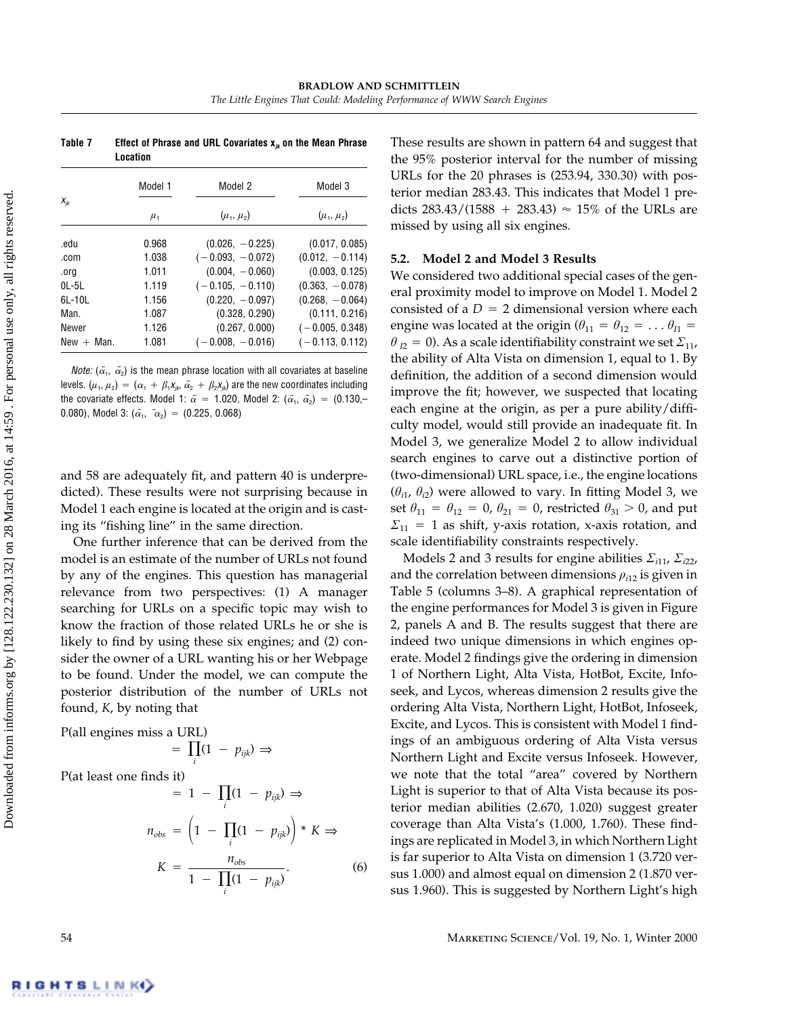**Table 7 Effect of Phrase and URL Covariates x***jk* **on the Mean Phrase Location**

|               | Model 1   | Model 2            | Model 3           |
|---------------|-----------|--------------------|-------------------|
| $X_{ik}$      | $\mu_{1}$ | $(\mu_1, \mu_2)$   | $(\mu_1, \mu_2)$  |
| .edu          | 0.968     | $(0.026, -0.225)$  | (0.017, 0.085)    |
| .com          | 1.038     | $(-0.093, -0.072)$ | $(0.012, -0.114)$ |
| .org          | 1.011     | $(0.004, -0.060)$  | (0.003, 0.125)    |
| 01 - 51       | 1.119     | $(-0.105, -0.110)$ | $(0.363, -0.078)$ |
| 61 - 101      | 1.156     | $(0.220, -0.097)$  | $(0.268, -0.064)$ |
| Man.          | 1.087     | (0.328, 0.290)     | (0.111, 0.216)    |
| Newer         | 1.126     | (0.267, 0.000)     | $(-0.005, 0.348)$ |
| $New + Man$ . | 1.081     | $(-0.008, -0.016)$ | $(-0.113, 0.112)$ |

*Note:*  $(\bar{\alpha}_1, \bar{\alpha}_2)$  is the mean phrase location with all covariates at baseline levels.  $(\mu_1, \mu_2) = (\alpha_1 + \beta_1 x_{jk}, \bar{\alpha_2} + \beta_2 x_{jk})$  are the new coordinates including the covariate effects. Model 1:  $\bar{\alpha}$  = 1.020, Model 2:  $(\bar{\alpha_{1}},\ \bar{\alpha_{2}})$  = (0.130,– 0.080), Model 3:  $(\bar{\alpha}_1, \bar{\alpha}_2) = (0.225, 0.068)$ 

and 58 are adequately fit, and pattern 40 is underpredicted). These results were not surprising because in Model 1 each engine is located at the origin and is casting its "fishing line" in the same direction.

One further inference that can be derived from the model is an estimate of the number of URLs not found by any of the engines. This question has managerial relevance from two perspectives: (1) A manager searching for URLs on a specific topic may wish to know the fraction of those related URLs he or she is likely to find by using these six engines; and (2) consider the owner of a URL wanting his or her Webpage to be found. Under the model, we can compute the posterior distribution of the number of URLs not found, *K*, by noting that

P(all engines miss a URL)

$$
= \prod_i (1 \ - \ p_{ijk}) \Rightarrow
$$

P(at least one finds it)

$$
= 1 - \prod_{i} (1 - p_{ijk}) \Rightarrow
$$

$$
n_{obs} = \left(1 - \prod_{i} (1 - p_{ijk})\right) * K \Rightarrow
$$

$$
K = \frac{n_{obs}}{1 - \prod_{i} (1 - p_{ijk})}.
$$
(6)

These results are shown in pattern 64 and suggest that the 95% posterior interval for the number of missing URLs for the 20 phrases is (253.94, 330.30) with posterior median 283.43. This indicates that Model 1 predicts  $283.43/(1588 + 283.43) \approx 15\%$  of the URLs are missed by using all six engines.

#### **5.2. Model 2 and Model 3 Results**

We considered two additional special cases of the general proximity model to improve on Model 1. Model 2 consisted of a  $D = 2$  dimensional version where each engine was located at the origin ( $\theta_{11} = \theta_{12} = \dots \theta_{I1} =$  $\theta_{I2} = 0$ ). As a scale identifiability constraint we set  $\mathcal{Z}_{11}$ , the ability of Alta Vista on dimension 1, equal to 1. By definition, the addition of a second dimension would improve the fit; however, we suspected that locating each engine at the origin, as per a pure ability/difficulty model, would still provide an inadequate fit. In Model 3, we generalize Model 2 to allow individual search engines to carve out a distinctive portion of (two-dimensional) URL space, i.e., the engine locations  $(\theta_{i1}, \theta_{i2})$  were allowed to vary. In fitting Model 3, we set  $\theta_{11} = \theta_{12} = 0$ ,  $\theta_{21} = 0$ , restricted  $\theta_{31} > 0$ , and put  $\Sigma_{11} = 1$  as shift, y-axis rotation, x-axis rotation, and scale identifiability constraints respectively.

Models 2 and 3 results for engine abilities  $\sum_{i=1}^{n} \sum_{i=1}^{n}$ and the correlation between dimensions  $\rho_{i12}$  is given in Table 5 (columns 3–8). A graphical representation of the engine performances for Model 3 is given in Figure 2, panels A and B. The results suggest that there are indeed two unique dimensions in which engines operate. Model 2 findings give the ordering in dimension 1 of Northern Light, Alta Vista, HotBot, Excite, Infoseek, and Lycos, whereas dimension 2 results give the ordering Alta Vista, Northern Light, HotBot, Infoseek, Excite, and Lycos. This is consistent with Model 1 findings of an ambiguous ordering of Alta Vista versus Northern Light and Excite versus Infoseek. However, we note that the total "area" covered by Northern Light is superior to that of Alta Vista because its posterior median abilities (2.670, 1.020) suggest greater coverage than Alta Vista's (1.000, 1.760). These findings are replicated in Model 3, in which Northern Light is far superior to Alta Vista on dimension 1 (3.720 versus 1.000) and almost equal on dimension 2 (1.870 versus 1.960). This is suggested by Northern Light's high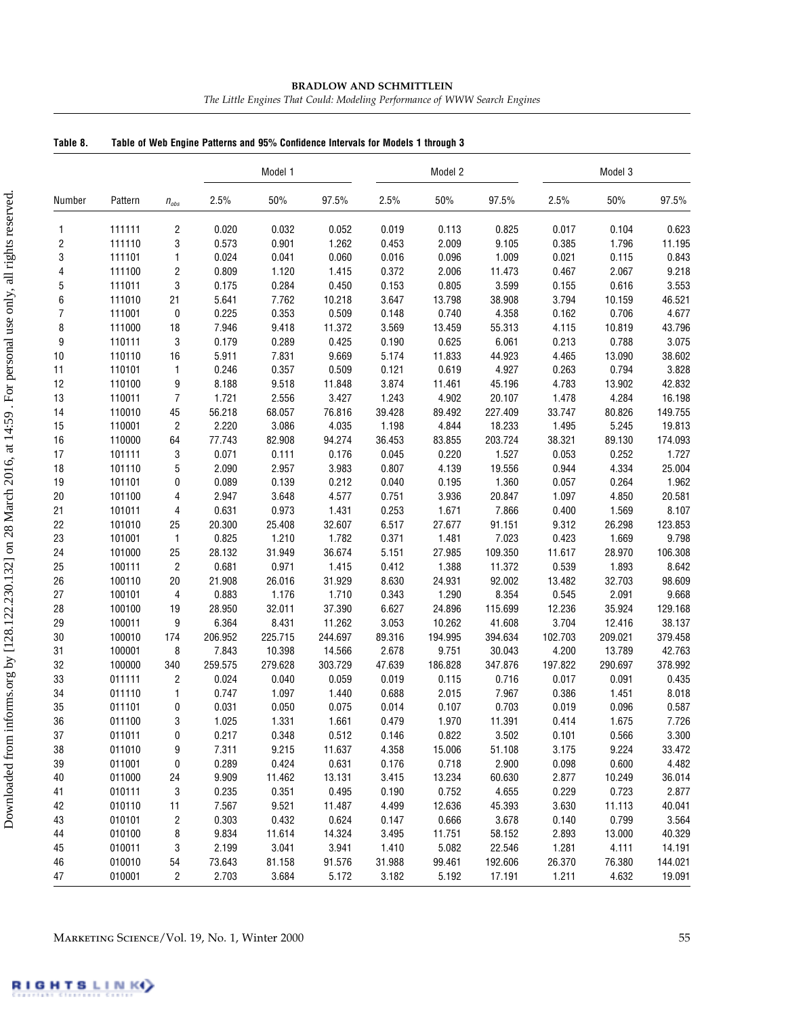| Table 8.                | Table of Web Engine Patterns and 95% Confidence Intervals for Models 1 through 3 |                         |         |         |         |        |         |         |         |         |         |  |
|-------------------------|----------------------------------------------------------------------------------|-------------------------|---------|---------|---------|--------|---------|---------|---------|---------|---------|--|
|                         |                                                                                  |                         |         | Model 1 |         |        | Model 2 |         |         | Model 3 |         |  |
| Number                  | Pattern                                                                          | $n_{\rm obs}$           | 2.5%    | 50%     | 97.5%   | 2.5%   | $50\%$  | 97.5%   | 2.5%    | 50%     | 97.5%   |  |
| 1                       | 111111                                                                           | $\overline{\mathbf{c}}$ | 0.020   | 0.032   | 0.052   | 0.019  | 0.113   | 0.825   | 0.017   | 0.104   | 0.623   |  |
| $\overline{\mathbf{c}}$ | 111110                                                                           | 3                       | 0.573   | 0.901   | 1.262   | 0.453  | 2.009   | 9.105   | 0.385   | 1.796   | 11.195  |  |
| 3                       | 111101                                                                           | $\mathbf{1}$            | 0.024   | 0.041   | 0.060   | 0.016  | 0.096   | 1.009   | 0.021   | 0.115   | 0.843   |  |
| 4                       | 111100                                                                           | $\sqrt{2}$              | 0.809   | 1.120   | 1.415   | 0.372  | 2.006   | 11.473  | 0.467   | 2.067   | 9.218   |  |
| 5                       | 111011                                                                           | 3                       | 0.175   | 0.284   | 0.450   | 0.153  | 0.805   | 3.599   | 0.155   | 0.616   | 3.553   |  |
| 6                       | 111010                                                                           | 21                      | 5.641   | 7.762   | 10.218  | 3.647  | 13.798  | 38.908  | 3.794   | 10.159  | 46.521  |  |
| $\overline{7}$          | 111001                                                                           | $\pmb{0}$               | 0.225   | 0.353   | 0.509   | 0.148  | 0.740   | 4.358   | 0.162   | 0.706   | 4.677   |  |
| 8                       | 111000                                                                           | 18                      | 7.946   | 9.418   | 11.372  | 3.569  | 13.459  | 55.313  | 4.115   | 10.819  | 43.796  |  |
| 9                       | 110111                                                                           | 3                       | 0.179   | 0.289   | 0.425   | 0.190  | 0.625   | 6.061   | 0.213   | 0.788   | 3.075   |  |
| 10                      | 110110                                                                           | 16                      | 5.911   | 7.831   | 9.669   | 5.174  | 11.833  | 44.923  | 4.465   | 13.090  | 38.602  |  |
| 11                      | 110101                                                                           | $\mathbf{1}$            | 0.246   | 0.357   | 0.509   | 0.121  | 0.619   | 4.927   | 0.263   | 0.794   | 3.828   |  |
| 12                      | 110100                                                                           | 9                       | 8.188   | 9.518   | 11.848  | 3.874  | 11.461  | 45.196  | 4.783   | 13.902  | 42.832  |  |
| 13                      | 110011                                                                           | $\overline{7}$          | 1.721   | 2.556   | 3.427   | 1.243  | 4.902   | 20.107  | 1.478   | 4.284   | 16.198  |  |
| 14                      | 110010                                                                           | 45                      | 56.218  | 68.057  | 76.816  | 39.428 | 89.492  | 227.409 | 33.747  | 80.826  | 149.755 |  |
| 15                      | 110001                                                                           | $\overline{c}$          | 2.220   | 3.086   | 4.035   | 1.198  | 4.844   | 18.233  | 1.495   | 5.245   | 19.813  |  |
| 16                      | 110000                                                                           | 64                      | 77.743  | 82.908  | 94.274  | 36.453 | 83.855  | 203.724 | 38.321  | 89.130  | 174.093 |  |
| 17                      | 101111                                                                           | 3                       | 0.071   | 0.111   | 0.176   | 0.045  | 0.220   | 1.527   | 0.053   | 0.252   | 1.727   |  |
| 18                      | 101110                                                                           | $\overline{5}$          | 2.090   | 2.957   | 3.983   | 0.807  | 4.139   | 19.556  | 0.944   | 4.334   | 25.004  |  |
| $19$                    | 101101                                                                           | $\pmb{0}$               | 0.089   | 0.139   | 0.212   | 0.040  | 0.195   | 1.360   | 0.057   | 0.264   | 1.962   |  |
| 20                      | 101100                                                                           | $\overline{4}$          | 2.947   | 3.648   | 4.577   | 0.751  | 3.936   | 20.847  | 1.097   | 4.850   | 20.581  |  |
| 21                      | 101011                                                                           | $\overline{4}$          | 0.631   | 0.973   | 1.431   | 0.253  | 1.671   | 7.866   | 0.400   | 1.569   | 8.107   |  |
| 22                      | 101010                                                                           | 25                      | 20.300  | 25.408  | 32.607  | 6.517  | 27.677  | 91.151  | 9.312   | 26.298  | 123.853 |  |
| 23                      | 101001                                                                           | $\mathbf{1}$            | 0.825   | 1.210   | 1.782   | 0.371  | 1.481   | 7.023   | 0.423   | 1.669   | 9.798   |  |
| 24                      | 101000                                                                           | 25                      | 28.132  | 31.949  | 36.674  | 5.151  | 27.985  | 109.350 | 11.617  | 28.970  | 106.308 |  |
| 25                      | 100111                                                                           | $\sqrt{2}$              | 0.681   | 0.971   | 1.415   | 0.412  | 1.388   | 11.372  | 0.539   | 1.893   | 8.642   |  |
| 26                      | 100110                                                                           | 20                      | 21.908  | 26.016  | 31.929  | 8.630  | 24.931  | 92.002  | 13.482  | 32.703  | 98.609  |  |
| 27                      | 100101                                                                           | $\overline{4}$          | 0.883   | 1.176   | 1.710   | 0.343  | 1.290   | 8.354   | 0.545   | 2.091   | 9.668   |  |
| 28                      | 100100                                                                           | 19                      | 28.950  | 32.011  | 37.390  | 6.627  | 24.896  | 115.699 | 12.236  | 35.924  | 129.168 |  |
| 29                      | 100011                                                                           | 9                       | 6.364   | 8.431   | 11.262  | 3.053  | 10.262  | 41.608  | 3.704   | 12.416  | 38.137  |  |
| 30                      | 100010                                                                           | 174                     | 206.952 | 225.715 | 244.697 | 89.316 | 194.995 | 394.634 | 102.703 | 209.021 | 379.458 |  |
| 31                      | 100001                                                                           | 8                       | 7.843   | 10.398  | 14.566  | 2.678  | 9.751   | 30.043  | 4.200   | 13.789  | 42.763  |  |
| 32                      | 100000                                                                           | 340                     | 259.575 | 279.628 | 303.729 | 47.639 | 186.828 | 347.876 | 197.822 | 290.697 | 378.992 |  |
| 33                      | 011111                                                                           | $\sqrt{2}$              | 0.024   | 0.040   | 0.059   | 0.019  | 0.115   | 0.716   | 0.017   | 0.091   | 0.435   |  |
| 34                      | 011110                                                                           | 1                       | 0.747   | 1.097   | 1.440   | 0.688  | 2.015   | 7.967   | 0.386   | 1.451   | 8.018   |  |
| 35                      | 011101                                                                           | 0                       | 0.031   | 0.050   | 0.075   | 0.014  | 0.107   | 0.703   | 0.019   | 0.096   | 0.587   |  |
| 36                      | 011100                                                                           | 3                       | 1.025   | 1.331   | 1.661   | 0.479  | 1.970   | 11.391  | 0.414   | 1.675   | 7.726   |  |
| 37                      | 011011                                                                           | 0                       | 0.217   | 0.348   | 0.512   | 0.146  | 0.822   | 3.502   | 0.101   | 0.566   | 3.300   |  |
| 38                      | 011010                                                                           | 9                       | 7.311   | 9.215   | 11.637  | 4.358  | 15.006  | 51.108  | 3.175   | 9.224   | 33.472  |  |
| 39                      | 011001                                                                           | 0                       | 0.289   | 0.424   | 0.631   | 0.176  | 0.718   | 2.900   | 0.098   | 0.600   | 4.482   |  |
| 40                      | 011000                                                                           | 24                      | 9.909   | 11.462  | 13.131  | 3.415  | 13.234  | 60.630  | 2.877   | 10.249  | 36.014  |  |
| 41                      | 010111                                                                           | 3                       | 0.235   | 0.351   | 0.495   | 0.190  | 0.752   | 4.655   | 0.229   | 0.723   | 2.877   |  |
| 42                      | 010110                                                                           | 11                      | 7.567   | 9.521   | 11.487  | 4.499  | 12.636  | 45.393  | 3.630   | 11.113  | 40.041  |  |
| 43                      | 010101                                                                           | $\sqrt{2}$              | 0.303   | 0.432   | 0.624   | 0.147  | 0.666   | 3.678   | 0.140   | 0.799   | 3.564   |  |
| 44                      | 010100                                                                           | 8                       | 9.834   | 11.614  | 14.324  | 3.495  | 11.751  | 58.152  | 2.893   | 13.000  | 40.329  |  |
| 45                      | 010011                                                                           | 3                       | 2.199   | 3.041   | 3.941   | 1.410  | 5.082   | 22.546  | 1.281   | 4.111   | 14.191  |  |
| 46                      | 010010                                                                           | 54                      | 73.643  | 81.158  | 91.576  | 31.988 | 99.461  | 192.606 | 26.370  | 76.380  | 144.021 |  |
| 47                      | 010001                                                                           | 2                       | 2.703   | 3.684   | 5.172   | 3.182  | 5.192   | 17.191  | 1.211   | 4.632   | 19.091  |  |

#### **BRADLOW AND SCHMITTLEIN**

*The Little Engines That Could: Modeling Performance of WWW Search Engines*

Downloaded from informs.org by [128.122.230.132] on 28 March 2016, at 14:59 . For personal use only, all rights reserved. Downloaded from informs.org by [128.122.230.132] on 28 March 2016, at 14:59 . For personal use only, all rights reserved.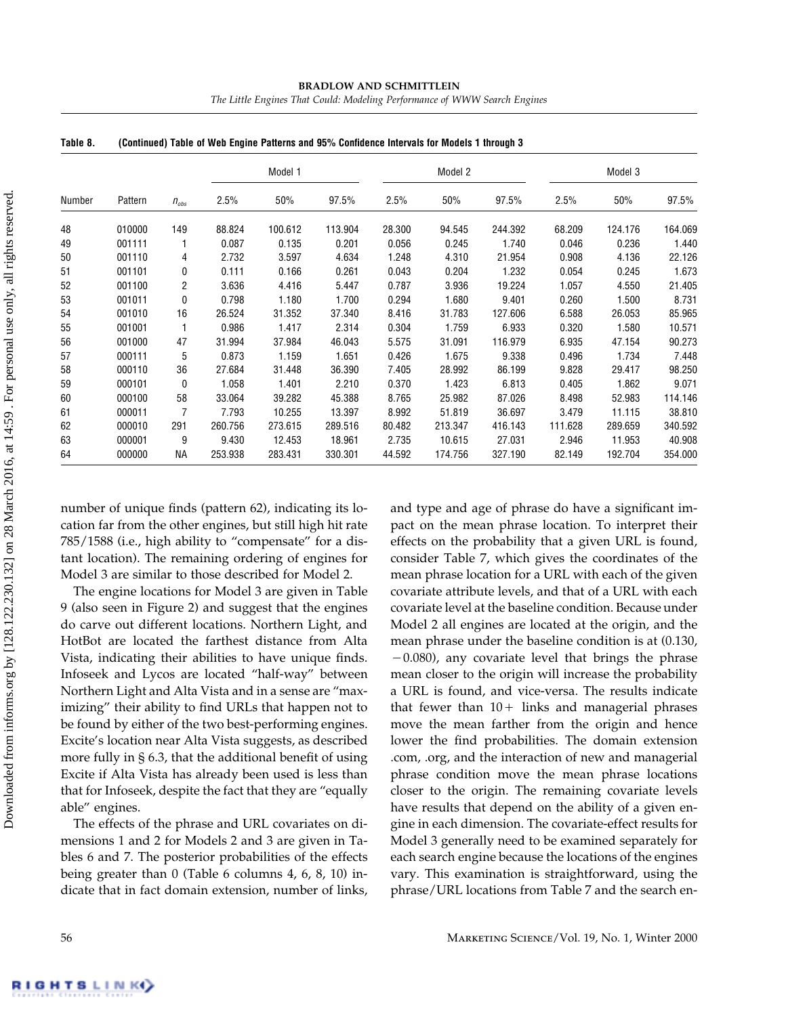|        | Pattern |                |           | Model 1 |         |        | Model 2 |         |         | Model 3 |         |
|--------|---------|----------------|-----------|---------|---------|--------|---------|---------|---------|---------|---------|
| Number |         |                | $n_{obs}$ | 2.5%    | 50%     | 97.5%  | 2.5%    | 50%     | 97.5%   | 2.5%    | 50%     |
| 48     | 010000  | 149            | 88.824    | 100.612 | 113.904 | 28.300 | 94.545  | 244.392 | 68.209  | 124.176 | 164.069 |
| 49     | 001111  |                | 0.087     | 0.135   | 0.201   | 0.056  | 0.245   | 1.740   | 0.046   | 0.236   | 1.440   |
| 50     | 001110  | 4              | 2.732     | 3.597   | 4.634   | 1.248  | 4.310   | 21.954  | 0.908   | 4.136   | 22.126  |
| 51     | 001101  | 0              | 0.111     | 0.166   | 0.261   | 0.043  | 0.204   | 1.232   | 0.054   | 0.245   | 1.673   |
| 52     | 001100  | $\overline{2}$ | 3.636     | 4.416   | 5.447   | 0.787  | 3.936   | 19.224  | 1.057   | 4.550   | 21.405  |
| 53     | 001011  | 0              | 0.798     | 1.180   | 1.700   | 0.294  | 1.680   | 9.401   | 0.260   | 1.500   | 8.731   |
| 54     | 001010  | 16             | 26.524    | 31.352  | 37.340  | 8.416  | 31.783  | 127.606 | 6.588   | 26.053  | 85.965  |
| 55     | 001001  |                | 0.986     | 1.417   | 2.314   | 0.304  | 1.759   | 6.933   | 0.320   | 1.580   | 10.571  |
| 56     | 001000  | 47             | 31.994    | 37.984  | 46.043  | 5.575  | 31.091  | 116.979 | 6.935   | 47.154  | 90.273  |
| 57     | 000111  | 5              | 0.873     | 1.159   | 1.651   | 0.426  | 1.675   | 9.338   | 0.496   | 1.734   | 7.448   |
| 58     | 000110  | 36             | 27.684    | 31.448  | 36.390  | 7.405  | 28.992  | 86.199  | 9.828   | 29.417  | 98.250  |
| 59     | 000101  | 0              | 1.058     | 1.401   | 2.210   | 0.370  | 1.423   | 6.813   | 0.405   | 1.862   | 9.071   |
| 60     | 000100  | 58             | 33.064    | 39.282  | 45.388  | 8.765  | 25.982  | 87.026  | 8.498   | 52.983  | 114.146 |
| 61     | 000011  | 7              | 7.793     | 10.255  | 13.397  | 8.992  | 51.819  | 36.697  | 3.479   | 11.115  | 38.810  |
| 62     | 000010  | 291            | 260.756   | 273.615 | 289.516 | 80.482 | 213.347 | 416.143 | 111.628 | 289.659 | 340.592 |
| 63     | 000001  | 9              | 9.430     | 12.453  | 18.961  | 2.735  | 10.615  | 27.031  | 2.946   | 11.953  | 40.908  |
| 64     | 000000  | NА             | 253.938   | 283.431 | 330.301 | 44.592 | 174.756 | 327.190 | 82.149  | 192.704 | 354.000 |

**BRADLOW AND SCHMITTLEIN**

*The Little Engines That Could: Modeling Performance of WWW Search Engines*

**Table 8. (Continued) Table of Web Engine Patterns and 95% Confidence Intervals for Models 1 through 3**

number of unique finds (pattern 62), indicating its location far from the other engines, but still high hit rate 785/1588 (i.e., high ability to "compensate" for a distant location). The remaining ordering of engines for Model 3 are similar to those described for Model 2.

The engine locations for Model 3 are given in Table 9 (also seen in Figure 2) and suggest that the engines do carve out different locations. Northern Light, and HotBot are located the farthest distance from Alta Vista, indicating their abilities to have unique finds. Infoseek and Lycos are located "half-way" between Northern Light and Alta Vista and in a sense are "maximizing" their ability to find URLs that happen not to be found by either of the two best-performing engines. Excite's location near Alta Vista suggests, as described more fully in § 6.3, that the additional benefit of using Excite if Alta Vista has already been used is less than that for Infoseek, despite the fact that they are "equally able" engines.

The effects of the phrase and URL covariates on dimensions 1 and 2 for Models 2 and 3 are given in Tables 6 and 7. The posterior probabilities of the effects being greater than 0 (Table 6 columns 4, 6, 8, 10) indicate that in fact domain extension, number of links, and type and age of phrase do have a significant impact on the mean phrase location. To interpret their effects on the probability that a given URL is found, consider Table 7, which gives the coordinates of the mean phrase location for a URL with each of the given covariate attribute levels, and that of a URL with each covariate level at the baseline condition. Because under Model 2 all engines are located at the origin, and the mean phrase under the baseline condition is at (0.130,  $-0.080$ ), any covariate level that brings the phrase mean closer to the origin will increase the probability a URL is found, and vice-versa. The results indicate that fewer than  $10 +$  links and managerial phrases move the mean farther from the origin and hence lower the find probabilities. The domain extension .com, .org, and the interaction of new and managerial phrase condition move the mean phrase locations closer to the origin. The remaining covariate levels have results that depend on the ability of a given engine in each dimension. The covariate-effect results for Model 3 generally need to be examined separately for each search engine because the locations of the engines vary. This examination is straightforward, using the phrase/URL locations from Table 7 and the search en-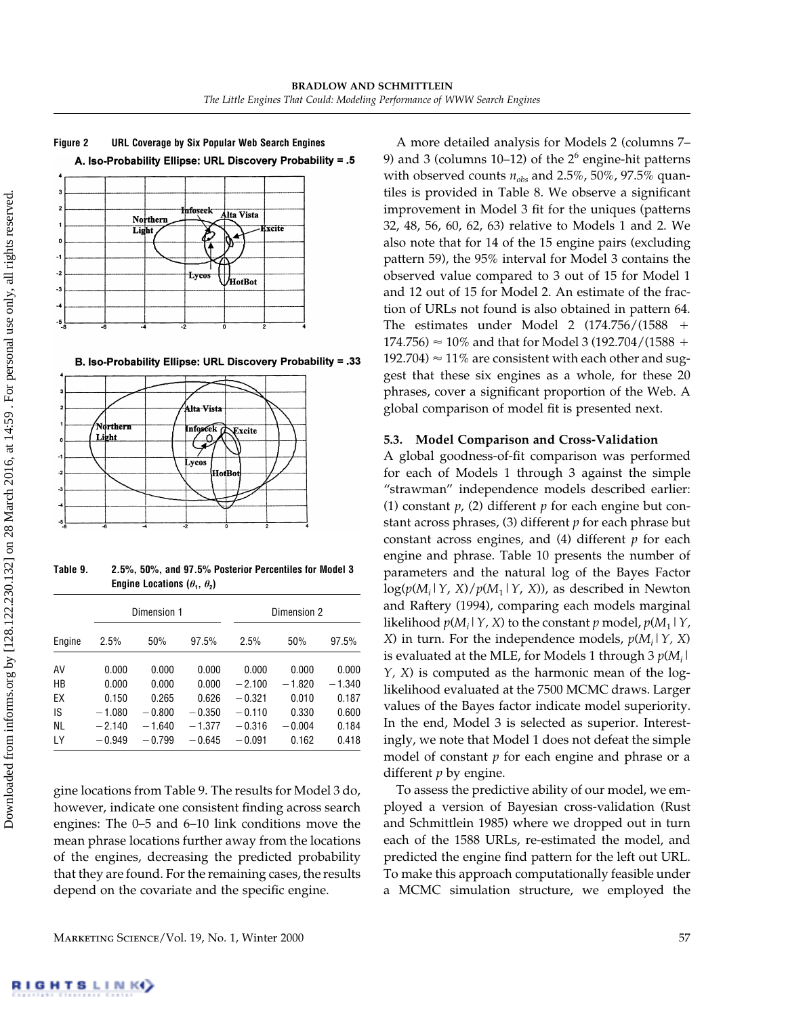

**Figure 2 URL Coverage by Six Popular Web Search Engines** A. Iso-Probability Ellipse: URL Discovery Probability = .5

B. Iso-Probability Ellipse: URL Discovery Probability = .33



**Table 9. 2.5%, 50%, and 97.5% Posterior Percentiles for Model 3 Engine Locations**  $(\theta_1, \theta_2)$ 

|        | Dimension 1 |          |          | Dimension 2 |          |          |
|--------|-------------|----------|----------|-------------|----------|----------|
| Engine | 2.5%        | 50%      | 97.5%    | 2.5%        | 50%      | 97.5%    |
| AV     | 0.000       | 0.000    | 0.000    | 0.000       | 0.000    | 0.000    |
| НB     | 0.000       | 0.000    | 0.000    | $-2.100$    | $-1.820$ | $-1.340$ |
| EХ     | 0.150       | 0.265    | 0.626    | $-0.321$    | 0.010    | 0.187    |
| IS     | $-1.080$    | $-0.800$ | $-0.350$ | $-0.110$    | 0.330    | 0.600    |
| NL     | $-2.140$    | $-1.640$ | $-1.377$ | $-0.316$    | $-0.004$ | 0.184    |
| LY     | $-0.949$    | $-0.799$ | $-0.645$ | $-0.091$    | 0.162    | 0.418    |
|        |             |          |          |             |          |          |

gine locations from Table 9. The results for Model 3 do, however, indicate one consistent finding across search engines: The 0-5 and 6-10 link conditions move the mean phrase locations further away from the locations of the engines, decreasing the predicted probability that they are found. For the remaining cases, the results depend on the covariate and the specific engine.

A more detailed analysis for Models 2 (columns 7– 9) and 3 (columns 10–12) of the  $2<sup>6</sup>$  engine-hit patterns with observed counts  $n_{obs}$  and 2.5%, 50%, 97.5% quantiles is provided in Table 8. We observe a significant improvement in Model 3 fit for the uniques (patterns 32, 48, 56, 60, 62, 63) relative to Models 1 and 2. We also note that for 14 of the 15 engine pairs (excluding pattern 59), the 95% interval for Model 3 contains the observed value compared to 3 out of 15 for Model 1 and 12 out of 15 for Model 2. An estimate of the fraction of URLs not found is also obtained in pattern 64. The estimates under Model 2 (174.756/(1588  $174.756$   $\approx$  10% and that for Model 3 (192.704/(1588 + 192.704)  $\approx$  11% are consistent with each other and suggest that these six engines as a whole, for these 20 phrases, cover a significant proportion of the Web. A global comparison of model fit is presented next.

## **5.3. Model Comparison and Cross-Validation**

A global goodness-of-fit comparison was performed for each of Models 1 through 3 against the simple "strawman" independence models described earlier: (1) constant *p*, (2) different *p* for each engine but constant across phrases, (3) different *p* for each phrase but constant across engines, and (4) different *p* for each engine and phrase. Table 10 presents the number of parameters and the natural log of the Bayes Factor log(*p*(*Mi* |*Y*, *X*)/*p*(*M*1|*Y*, *X*)), as described in Newton and Raftery (1994), comparing each models marginal likelihood  $p(M_i | Y, X)$  to the constant  $p$  model,  $p(M_1 | Y, X)$ *X*) in turn. For the independence models, *p*(*Mi* |*Y, X*) is evaluated at the MLE, for Models 1 through 3  $p(M_i \mid$ *Y, X*) is computed as the harmonic mean of the loglikelihood evaluated at the 7500 MCMC draws. Larger values of the Bayes factor indicate model superiority. In the end, Model 3 is selected as superior. Interestingly, we note that Model 1 does not defeat the simple model of constant *p* for each engine and phrase or a different *p* by engine.

To assess the predictive ability of our model, we employed a version of Bayesian cross-validation (Rust and Schmittlein 1985) where we dropped out in turn each of the 1588 URLs, re-estimated the model, and predicted the engine find pattern for the left out URL. To make this approach computationally feasible under a MCMC simulation structure, we employed the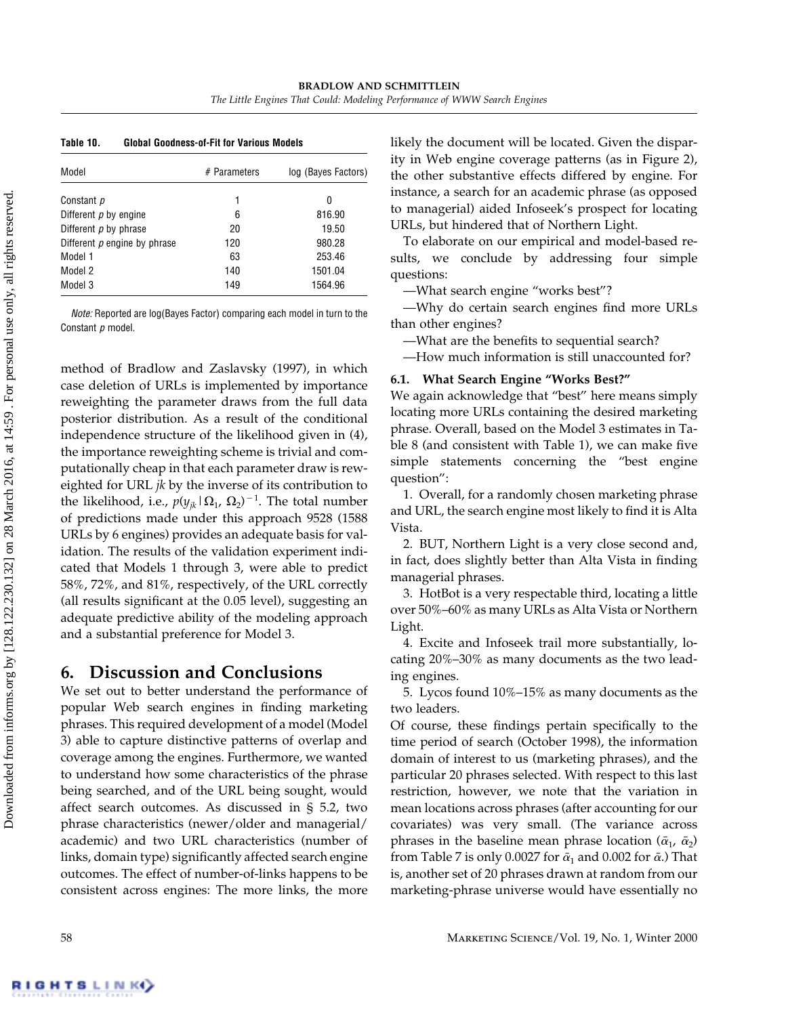| Table 10.                      | <b>Global Goodness-of-Fit for Various Models</b> |                     |  |  |  |  |
|--------------------------------|--------------------------------------------------|---------------------|--|--|--|--|
| Model                          | $#$ Parameters                                   | log (Bayes Factors) |  |  |  |  |
| Constant p                     | 1                                                | 0                   |  |  |  |  |
| Different p by engine          | 6                                                | 816.90              |  |  |  |  |
| Different $p$ by phrase        | 20                                               | 19.50               |  |  |  |  |
| Different $p$ engine by phrase | 120                                              | 980.28              |  |  |  |  |
| Model 1                        | 63                                               | 253.46              |  |  |  |  |
| Model 2                        | 140                                              | 1501.04             |  |  |  |  |
| Model 3                        | 149                                              | 1564.96             |  |  |  |  |

*Note:* Reported are log(Bayes Factor) comparing each model in turn to the Constant *p* model.

method of Bradlow and Zaslavsky (1997), in which case deletion of URLs is implemented by importance reweighting the parameter draws from the full data posterior distribution. As a result of the conditional independence structure of the likelihood given in (4), the importance reweighting scheme is trivial and computationally cheap in that each parameter draw is reweighted for URL *jk* by the inverse of its contribution to the likelihood, i.e.,  $p(y_{jk} | \Omega_1, \Omega_2)^{-1}$ . The total number of predictions made under this approach 9528 (1588 URLs by 6 engines) provides an adequate basis for validation. The results of the validation experiment indicated that Models 1 through 3, were able to predict 58%, 72%, and 81%, respectively, of the URL correctly (all results significant at the 0.05 level), suggesting an adequate predictive ability of the modeling approach and a substantial preference for Model 3.

# **6. Discussion and Conclusions**

We set out to better understand the performance of popular Web search engines in finding marketing phrases. This required development of a model (Model 3) able to capture distinctive patterns of overlap and coverage among the engines. Furthermore, we wanted to understand how some characteristics of the phrase being searched, and of the URL being sought, would affect search outcomes. As discussed in § 5.2, two phrase characteristics (newer/older and managerial/ academic) and two URL characteristics (number of links, domain type) significantly affected search engine outcomes. The effect of number-of-links happens to be consistent across engines: The more links, the more

likely the document will be located. Given the disparity in Web engine coverage patterns (as in Figure 2), the other substantive effects differed by engine. For instance, a search for an academic phrase (as opposed to managerial) aided Infoseek's prospect for locating URLs, but hindered that of Northern Light.

To elaborate on our empirical and model-based results, we conclude by addressing four simple questions:

—What search engine "works best"?

—Why do certain search engines find more URLs than other engines?

—What are the benefits to sequential search?

—How much information is still unaccounted for?

### **6.1. What Search Engine "Works Best?"**

We again acknowledge that "best" here means simply locating more URLs containing the desired marketing phrase. Overall, based on the Model 3 estimates in Table 8 (and consistent with Table 1), we can make five simple statements concerning the "best engine question":

1. Overall, for a randomly chosen marketing phrase and URL, the search engine most likely to find it is Alta Vista.

2. BUT, Northern Light is a very close second and, in fact, does slightly better than Alta Vista in finding managerial phrases.

3. HotBot is a very respectable third, locating a little over 50%–60% as many URLs as Alta Vista or Northern Light.

4. Excite and Infoseek trail more substantially, locating 20%–30% as many documents as the two leading engines.

5. Lycos found 10%–15% as many documents as the two leaders.

Of course, these findings pertain specifically to the time period of search (October 1998), the information domain of interest to us (marketing phrases), and the particular 20 phrases selected. With respect to this last restriction, however, we note that the variation in mean locations across phrases (after accounting for our covariates) was very small. (The variance across phrases in the baseline mean phrase location ( $\bar{\alpha}_1$ ,  $\bar{\alpha}_2$ ) from Table 7 is only 0.0027 for  $\bar{\alpha}_1$  and 0.002 for  $\bar{\alpha}$ .) That is, another set of 20 phrases drawn at random from our marketing-phrase universe would have essentially no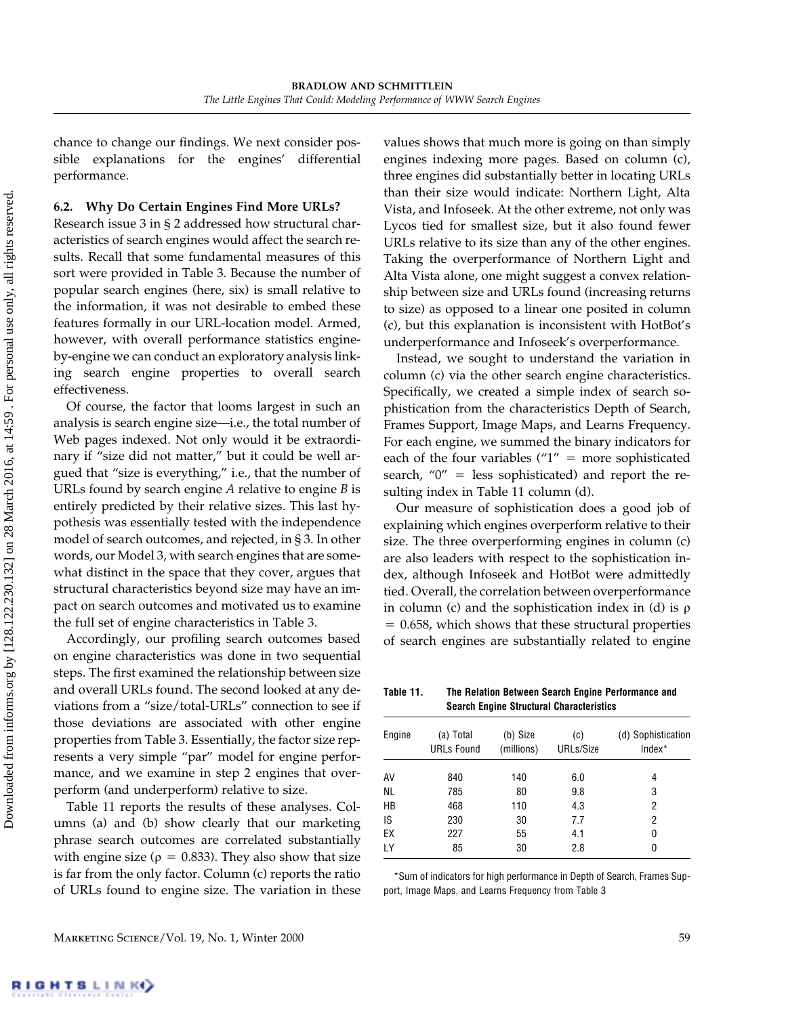chance to change our findings. We next consider possible explanations for the engines' differential performance.

#### **6.2. Why Do Certain Engines Find More URLs?**

Research issue 3 in § 2 addressed how structural characteristics of search engines would affect the search results. Recall that some fundamental measures of this sort were provided in Table 3. Because the number of popular search engines (here, six) is small relative to the information, it was not desirable to embed these features formally in our URL-location model. Armed, however, with overall performance statistics engineby-engine we can conduct an exploratory analysis linking search engine properties to overall search effectiveness.

Of course, the factor that looms largest in such an analysis is search engine size—i.e., the total number of Web pages indexed. Not only would it be extraordinary if "size did not matter," but it could be well argued that "size is everything," i.e., that the number of URLs found by search engine *A* relative to engine *B* is entirely predicted by their relative sizes. This last hypothesis was essentially tested with the independence model of search outcomes, and rejected, in § 3. In other words, our Model 3, with search engines that are somewhat distinct in the space that they cover, argues that structural characteristics beyond size may have an impact on search outcomes and motivated us to examine the full set of engine characteristics in Table 3.

Accordingly, our profiling search outcomes based on engine characteristics was done in two sequential steps. The first examined the relationship between size and overall URLs found. The second looked at any deviations from a "size/total-URLs" connection to see if those deviations are associated with other engine properties from Table 3. Essentially, the factor size represents a very simple "par" model for engine performance, and we examine in step 2 engines that overperform (and underperform) relative to size.

Table 11 reports the results of these analyses. Columns (a) and (b) show clearly that our marketing phrase search outcomes are correlated substantially with engine size ( $\rho = 0.833$ ). They also show that size is far from the only factor. Column (c) reports the ratio of URLs found to engine size. The variation in these

values shows that much more is going on than simply engines indexing more pages. Based on column (c), three engines did substantially better in locating URLs than their size would indicate: Northern Light, Alta Vista, and Infoseek. At the other extreme, not only was Lycos tied for smallest size, but it also found fewer URLs relative to its size than any of the other engines. Taking the overperformance of Northern Light and Alta Vista alone, one might suggest a convex relationship between size and URLs found (increasing returns to size) as opposed to a linear one posited in column (c), but this explanation is inconsistent with HotBot's underperformance and Infoseek's overperformance.

Instead, we sought to understand the variation in column (c) via the other search engine characteristics. Specifically, we created a simple index of search sophistication from the characteristics Depth of Search, Frames Support, Image Maps, and Learns Frequency. For each engine, we summed the binary indicators for each of the four variables  $("1" = more sophisticated)$ search, "0" = less sophisticated) and report the resulting index in Table 11 column (d).

Our measure of sophistication does a good job of explaining which engines overperform relative to their size. The three overperforming engines in column (c) are also leaders with respect to the sophistication index, although Infoseek and HotBot were admittedly tied. Overall, the correlation between overperformance in column (c) and the sophistication index in (d) is  $\rho$ - 0.658, which shows that these structural properties of search engines are substantially related to engine

**Table 11. The Relation Between Search Engine Performance and Search Engine Structural Characteristics**

| Engine    | (a) Total<br><b>URLs Found</b> | (b) Size<br>(millions) | (c)<br>URLs/Size | (d) Sophistication<br>Index <sup>*</sup> |
|-----------|--------------------------------|------------------------|------------------|------------------------------------------|
| AV        | 840                            | 140                    | 6.0              | 4                                        |
| <b>NL</b> | 785                            | 80                     | 9.8              | 3                                        |
| HB        | 468                            | 110                    | 4.3              | 2                                        |
| IS        | 230                            | 30                     | 7.7              | 2                                        |
| EX        | 227                            | 55                     | 4.1              | 0                                        |
| LY        | 85                             | 30                     | 2.8              | 0                                        |

\*Sum of indicators for high performance in Depth of Search, Frames Support, Image Maps, and Learns Frequency from Table 3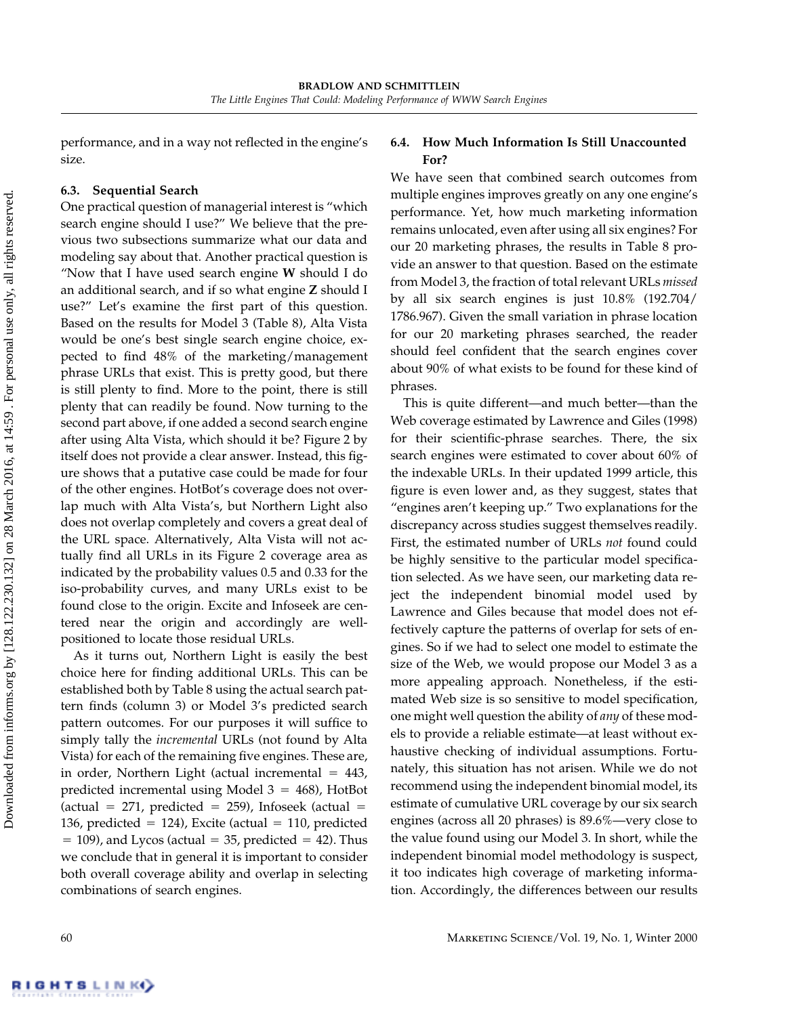performance, and in a way not reflected in the engine's size.

## **6.3. Sequential Search**

One practical question of managerial interest is "which search engine should I use?" We believe that the previous two subsections summarize what our data and modeling say about that. Another practical question is "Now that I have used search engine **W** should I do an additional search, and if so what engine **Z** should I use?" Let's examine the first part of this question. Based on the results for Model 3 (Table 8), Alta Vista would be one's best single search engine choice, expected to find 48% of the marketing/management phrase URLs that exist. This is pretty good, but there is still plenty to find. More to the point, there is still plenty that can readily be found. Now turning to the second part above, if one added a second search engine after using Alta Vista, which should it be? Figure 2 by itself does not provide a clear answer. Instead, this figure shows that a putative case could be made for four of the other engines. HotBot's coverage does not overlap much with Alta Vista's, but Northern Light also does not overlap completely and covers a great deal of the URL space. Alternatively, Alta Vista will not actually find all URLs in its Figure 2 coverage area as indicated by the probability values 0.5and 0.33 for the iso-probability curves, and many URLs exist to be found close to the origin. Excite and Infoseek are centered near the origin and accordingly are wellpositioned to locate those residual URLs.

As it turns out, Northern Light is easily the best choice here for finding additional URLs. This can be established both by Table 8 using the actual search pattern finds (column 3) or Model 3's predicted search pattern outcomes. For our purposes it will suffice to simply tally the *incremental* URLs (not found by Alta Vista) for each of the remaining five engines. These are, in order, Northern Light (actual incremental  $= 443$ , predicted incremental using Model  $3 = 468$ ), HotBot  $(\text{actual} = 271, \text{ predicted} = 259)$ , Infoseek  $(\text{actual} =$ 136, predicted  $= 124$ ), Excite (actual  $= 110$ , predicted  $= 109$ ), and Lycos (actual  $= 35$ , predicted  $= 42$ ). Thus we conclude that in general it is important to consider both overall coverage ability and overlap in selecting combinations of search engines.

## **6.4. How Much Information Is Still Unaccounted For?**

We have seen that combined search outcomes from multiple engines improves greatly on any one engine's performance. Yet, how much marketing information remains unlocated, even after using all six engines? For our 20 marketing phrases, the results in Table 8 provide an answer to that question. Based on the estimate from Model 3, the fraction of total relevant URLs *missed* by all six search engines is just 10.8% (192.704/ 1786.967). Given the small variation in phrase location for our 20 marketing phrases searched, the reader should feel confident that the search engines cover about 90% of what exists to be found for these kind of phrases.

This is quite different—and much better—than the Web coverage estimated by Lawrence and Giles (1998) for their scientific-phrase searches. There, the six search engines were estimated to cover about 60% of the indexable URLs. In their updated 1999 article, this figure is even lower and, as they suggest, states that "engines aren't keeping up." Two explanations for the discrepancy across studies suggest themselves readily. First, the estimated number of URLs *not* found could be highly sensitive to the particular model specification selected. As we have seen, our marketing data reject the independent binomial model used by Lawrence and Giles because that model does not effectively capture the patterns of overlap for sets of engines. So if we had to select one model to estimate the size of the Web, we would propose our Model 3 as a more appealing approach. Nonetheless, if the estimated Web size is so sensitive to model specification, one might well question the ability of *any* of these models to provide a reliable estimate—at least without exhaustive checking of individual assumptions. Fortunately, this situation has not arisen. While we do not recommend using the independent binomial model, its estimate of cumulative URL coverage by our six search engines (across all 20 phrases) is 89.6%—very close to the value found using our Model 3. In short, while the independent binomial model methodology is suspect, it too indicates high coverage of marketing information. Accordingly, the differences between our results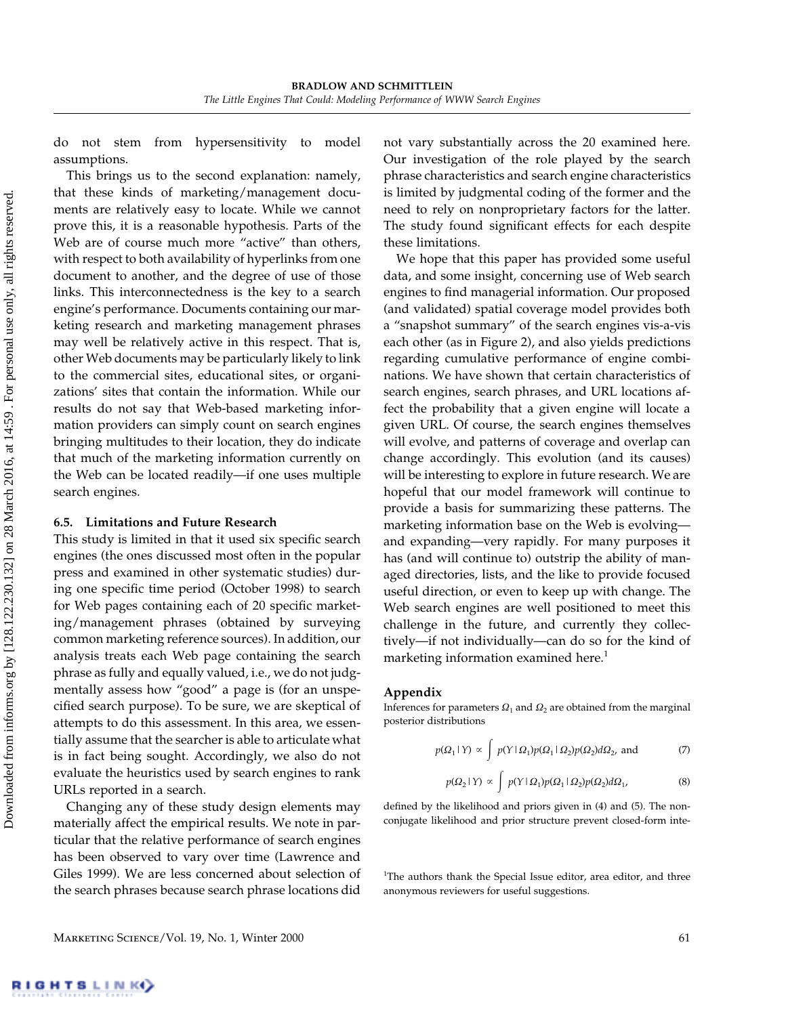do not stem from hypersensitivity to model assumptions.

This brings us to the second explanation: namely, that these kinds of marketing/management documents are relatively easy to locate. While we cannot prove this, it is a reasonable hypothesis. Parts of the Web are of course much more "active" than others, with respect to both availability of hyperlinks from one document to another, and the degree of use of those links. This interconnectedness is the key to a search engine's performance. Documents containing our marketing research and marketing management phrases may well be relatively active in this respect. That is, other Web documents may be particularly likely to link to the commercial sites, educational sites, or organizations' sites that contain the information. While our results do not say that Web-based marketing information providers can simply count on search engines bringing multitudes to their location, they do indicate that much of the marketing information currently on the Web can be located readily—if one uses multiple search engines.

#### **6.5. Limitations and Future Research**

This study is limited in that it used six specific search engines (the ones discussed most often in the popular press and examined in other systematic studies) during one specific time period (October 1998) to search for Web pages containing each of 20 specific marketing/management phrases (obtained by surveying common marketing reference sources). In addition, our analysis treats each Web page containing the search phrase as fully and equally valued, i.e., we do not judgmentally assess how "good" a page is (for an unspecified search purpose). To be sure, we are skeptical of attempts to do this assessment. In this area, we essentially assume that the searcher is able to articulate what is in fact being sought. Accordingly, we also do not evaluate the heuristics used by search engines to rank URLs reported in a search.

Changing any of these study design elements may materially affect the empirical results. We note in particular that the relative performance of search engines has been observed to vary over time (Lawrence and Giles 1999). We are less concerned about selection of the search phrases because search phrase locations did

not vary substantially across the 20 examined here. Our investigation of the role played by the search phrase characteristics and search engine characteristics is limited by judgmental coding of the former and the need to rely on nonproprietary factors for the latter. The study found significant effects for each despite these limitations.

We hope that this paper has provided some useful data, and some insight, concerning use of Web search engines to find managerial information. Our proposed (and validated) spatial coverage model provides both a "snapshot summary" of the search engines vis-a-vis each other (as in Figure 2), and also yields predictions regarding cumulative performance of engine combinations. We have shown that certain characteristics of search engines, search phrases, and URL locations affect the probability that a given engine will locate a given URL. Of course, the search engines themselves will evolve, and patterns of coverage and overlap can change accordingly. This evolution (and its causes) will be interesting to explore in future research. We are hopeful that our model framework will continue to provide a basis for summarizing these patterns. The marketing information base on the Web is evolving and expanding—very rapidly. For many purposes it has (and will continue to) outstrip the ability of managed directories, lists, and the like to provide focused useful direction, or even to keep up with change. The Web search engines are well positioned to meet this challenge in the future, and currently they collectively—if not individually—can do so for the kind of marketing information examined here.<sup>1</sup>

#### **Appendix**

Inferences for parameters  $\Omega_1$  and  $\Omega_2$  are obtained from the marginal posterior distributions

$$
p(\Omega_1 \mid Y) \propto \int p(Y \mid \Omega_1) p(\Omega_1 \mid \Omega_2) p(\Omega_2) d\Omega_2, \text{ and } (7)
$$

$$
p(\Omega_2 \mid Y) \propto \int p(Y \mid \Omega_1) p(\Omega_1 \mid \Omega_2) p(\Omega_2) d\Omega_1,\tag{8}
$$

defined by the likelihood and priors given in (4) and (5). The nonconjugate likelihood and prior structure prevent closed-form inte-

<sup>1</sup>The authors thank the Special Issue editor, area editor, and three anonymous reviewers for useful suggestions.